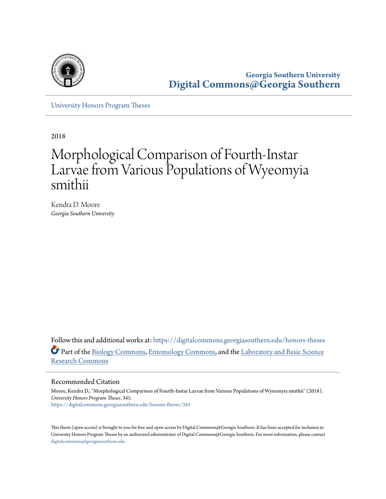

**Georgia Southern University [Digital Commons@Georgia Southern](https://digitalcommons.georgiasouthern.edu?utm_source=digitalcommons.georgiasouthern.edu%2Fhonors-theses%2F345&utm_medium=PDF&utm_campaign=PDFCoverPages)**

[University Honors Program Theses](https://digitalcommons.georgiasouthern.edu/honors-theses?utm_source=digitalcommons.georgiasouthern.edu%2Fhonors-theses%2F345&utm_medium=PDF&utm_campaign=PDFCoverPages)

2018

# Morphological Comparison of Fourth-Instar Larvae from Various Populations of Wyeomyia smithii

Kendra D. Moore *Georgia Southern University*

Follow this and additional works at: [https://digitalcommons.georgiasouthern.edu/honors-theses](https://digitalcommons.georgiasouthern.edu/honors-theses?utm_source=digitalcommons.georgiasouthern.edu%2Fhonors-theses%2F345&utm_medium=PDF&utm_campaign=PDFCoverPages) Part of the [Biology Commons,](http://network.bepress.com/hgg/discipline/41?utm_source=digitalcommons.georgiasouthern.edu%2Fhonors-theses%2F345&utm_medium=PDF&utm_campaign=PDFCoverPages) [Entomology Commons,](http://network.bepress.com/hgg/discipline/83?utm_source=digitalcommons.georgiasouthern.edu%2Fhonors-theses%2F345&utm_medium=PDF&utm_campaign=PDFCoverPages) and the [Laboratory and Basic Science](http://network.bepress.com/hgg/discipline/812?utm_source=digitalcommons.georgiasouthern.edu%2Fhonors-theses%2F345&utm_medium=PDF&utm_campaign=PDFCoverPages) [Research Commons](http://network.bepress.com/hgg/discipline/812?utm_source=digitalcommons.georgiasouthern.edu%2Fhonors-theses%2F345&utm_medium=PDF&utm_campaign=PDFCoverPages)

#### Recommended Citation

Moore, Kendra D., "Morphological Comparison of Fourth-Instar Larvae from Various Populations of Wyeomyia smithii" (2018). *University Honors Program Theses*. 345. [https://digitalcommons.georgiasouthern.edu/honors-theses/345](https://digitalcommons.georgiasouthern.edu/honors-theses/345?utm_source=digitalcommons.georgiasouthern.edu%2Fhonors-theses%2F345&utm_medium=PDF&utm_campaign=PDFCoverPages)

This thesis (open access) is brought to you for free and open access by Digital Commons@Georgia Southern. It has been accepted for inclusion in University Honors Program Theses by an authorized administrator of Digital Commons@Georgia Southern. For more information, please contact [digitalcommons@georgiasouthern.edu.](mailto:digitalcommons@georgiasouthern.edu)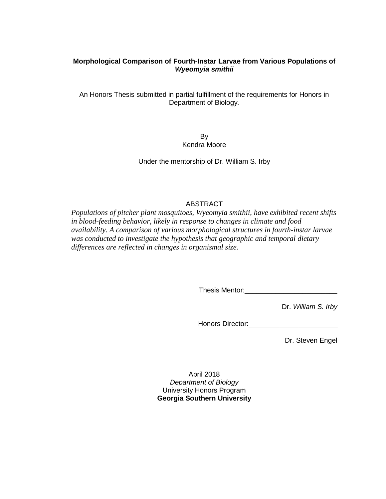# **Morphological Comparison of Fourth-Instar Larvae from Various Populations of**  *Wyeomyia smithii*

An Honors Thesis submitted in partial fulfillment of the requirements for Honors in Department of Biology*.*

> By Kendra Moore

Under the mentorship of Dr. William S. Irby

# ABSTRACT

*Populations of pitcher plant mosquitoes, Wyeomyia smithii, have exhibited recent shifts in blood-feeding behavior, likely in response to changes in climate and food availability. A comparison of various morphological structures in fourth-instar larvae was conducted to investigate the hypothesis that geographic and temporal dietary differences are reflected in changes in organismal size.*

Thesis Mentor:\_\_\_\_\_\_\_\_\_\_\_\_\_\_\_\_\_\_\_\_\_\_\_\_

Dr. *William S. Irby*

Honors Director:

Dr. Steven Engel

April 2018 *Department of Biology* University Honors Program **Georgia Southern University**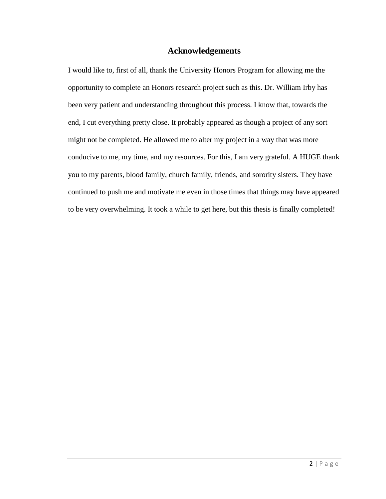# **Acknowledgements**

I would like to, first of all, thank the University Honors Program for allowing me the opportunity to complete an Honors research project such as this. Dr. William Irby has been very patient and understanding throughout this process. I know that, towards the end, I cut everything pretty close. It probably appeared as though a project of any sort might not be completed. He allowed me to alter my project in a way that was more conducive to me, my time, and my resources. For this, I am very grateful. A HUGE thank you to my parents, blood family, church family, friends, and sorority sisters. They have continued to push me and motivate me even in those times that things may have appeared to be very overwhelming. It took a while to get here, but this thesis is finally completed!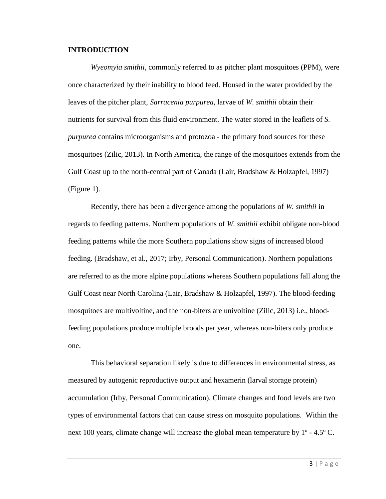#### **INTRODUCTION**

*Wyeomyia smithii*, commonly referred to as pitcher plant mosquitoes (PPM), were once characterized by their inability to blood feed. Housed in the water provided by the leaves of the pitcher plant, *Sarracenia purpurea*, larvae of *W. smithii* obtain their nutrients for survival from this fluid environment. The water stored in the leaflets of *S. purpurea* contains microorganisms and protozoa - the primary food sources for these mosquitoes (Zilic, 2013). In North America, the range of the mosquitoes extends from the Gulf Coast up to the north-central part of Canada (Lair, Bradshaw & Holzapfel, 1997) (Figure 1).

Recently, there has been a divergence among the populations of *W. smithii* in regards to feeding patterns. Northern populations of *W. smithii* exhibit obligate non-blood feeding patterns while the more Southern populations show signs of increased blood feeding. (Bradshaw, et al., 2017; Irby, Personal Communication). Northern populations are referred to as the more alpine populations whereas Southern populations fall along the Gulf Coast near North Carolina (Lair, Bradshaw & Holzapfel, 1997). The blood-feeding mosquitoes are multivoltine, and the non-biters are univoltine (Zilic, 2013) i.e., bloodfeeding populations produce multiple broods per year, whereas non-biters only produce one.

This behavioral separation likely is due to differences in environmental stress, as measured by autogenic reproductive output and hexamerin (larval storage protein) accumulation (Irby, Personal Communication). Climate changes and food levels are two types of environmental factors that can cause stress on mosquito populations. Within the next 100 years, climate change will increase the global mean temperature by  $1^{\circ}$  - 4.5° C.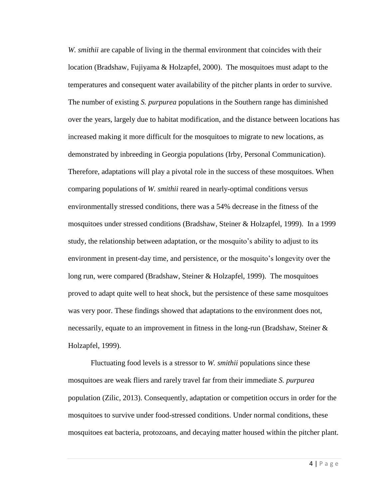*W. smithii* are capable of living in the thermal environment that coincides with their location (Bradshaw, Fujiyama & Holzapfel, 2000). The mosquitoes must adapt to the temperatures and consequent water availability of the pitcher plants in order to survive. The number of existing *S. purpurea* populations in the Southern range has diminished over the years, largely due to habitat modification, and the distance between locations has increased making it more difficult for the mosquitoes to migrate to new locations, as demonstrated by inbreeding in Georgia populations (Irby, Personal Communication). Therefore, adaptations will play a pivotal role in the success of these mosquitoes. When comparing populations of *W. smithii* reared in nearly-optimal conditions versus environmentally stressed conditions, there was a 54% decrease in the fitness of the mosquitoes under stressed conditions (Bradshaw, Steiner & Holzapfel, 1999). In a 1999 study, the relationship between adaptation, or the mosquito's ability to adjust to its environment in present-day time, and persistence, or the mosquito's longevity over the long run, were compared (Bradshaw, Steiner & Holzapfel, 1999). The mosquitoes proved to adapt quite well to heat shock, but the persistence of these same mosquitoes was very poor. These findings showed that adaptations to the environment does not, necessarily, equate to an improvement in fitness in the long-run (Bradshaw, Steiner  $\&$ Holzapfel, 1999).

Fluctuating food levels is a stressor to *W. smithii* populations since these mosquitoes are weak fliers and rarely travel far from their immediate *S. purpurea* population (Zilic, 2013). Consequently, adaptation or competition occurs in order for the mosquitoes to survive under food-stressed conditions. Under normal conditions, these mosquitoes eat bacteria, protozoans, and decaying matter housed within the pitcher plant.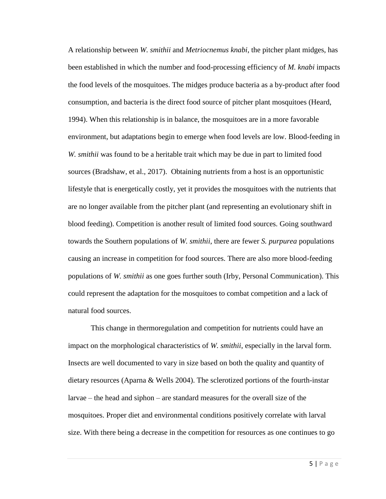A relationship between *W. smithii* and *Metriocnemus knabi*, the pitcher plant midges, has been established in which the number and food-processing efficiency of *M. knabi* impacts the food levels of the mosquitoes. The midges produce bacteria as a by-product after food consumption, and bacteria is the direct food source of pitcher plant mosquitoes (Heard, 1994). When this relationship is in balance, the mosquitoes are in a more favorable environment, but adaptations begin to emerge when food levels are low. Blood-feeding in *W. smithii* was found to be a heritable trait which may be due in part to limited food sources (Bradshaw, et al., 2017). Obtaining nutrients from a host is an opportunistic lifestyle that is energetically costly, yet it provides the mosquitoes with the nutrients that are no longer available from the pitcher plant (and representing an evolutionary shift in blood feeding). Competition is another result of limited food sources. Going southward towards the Southern populations of *W. smithii*, there are fewer *S. purpurea* populations causing an increase in competition for food sources. There are also more blood-feeding populations of *W. smithii* as one goes further south (Irby, Personal Communication). This could represent the adaptation for the mosquitoes to combat competition and a lack of natural food sources.

This change in thermoregulation and competition for nutrients could have an impact on the morphological characteristics of *W. smithii*, especially in the larval form. Insects are well documented to vary in size based on both the quality and quantity of dietary resources (Aparna & Wells 2004). The sclerotized portions of the fourth-instar larvae – the head and siphon – are standard measures for the overall size of the mosquitoes. Proper diet and environmental conditions positively correlate with larval size. With there being a decrease in the competition for resources as one continues to go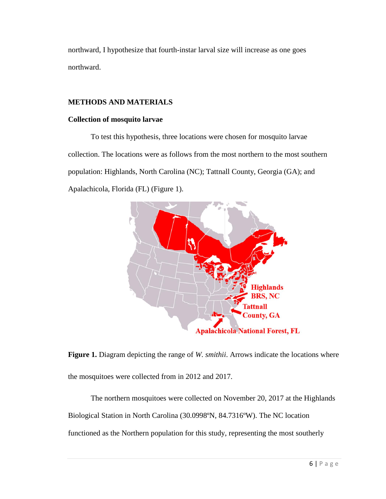northward, I hypothesize that fourth-instar larval size will increase as one goes northward.

# **METHODS AND MATERIALS**

### **Collection of mosquito larvae**

To test this hypothesis, three locations were chosen for mosquito larvae collection. The locations were as follows from the most northern to the most southern population: Highlands, North Carolina (NC); Tattnall County, Georgia (GA); and Apalachicola, Florida (FL) (Figure 1).



**Figure 1.** Diagram depicting the range of *W. smithii*. Arrows indicate the locations where the mosquitoes were collected from in 2012 and 2017.

The northern mosquitoes were collected on November 20, 2017 at the Highlands Biological Station in North Carolina (30.0998ºN, 84.7316ºW). The NC location functioned as the Northern population for this study, representing the most southerly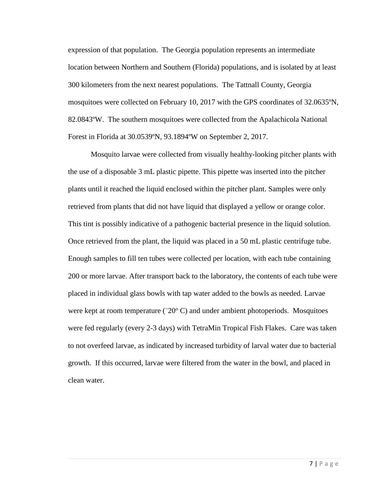expression of that population. The Georgia population represents an intermediate location between Northern and Southern (Florida) populations, and is isolated by at least 300 kilometers from the next nearest populations. The Tattnall County, Georgia mosquitoes were collected on February 10, 2017 with the GPS coordinates of 32.0635ºN, 82.0843ºW. The southern mosquitoes were collected from the Apalachicola National Forest in Florida at 30.0539ºN, 93.1894ºW on September 2, 2017.

Mosquito larvae were collected from visually healthy-looking pitcher plants with the use of a disposable 3 mL plastic pipette. This pipette was inserted into the pitcher plants until it reached the liquid enclosed within the pitcher plant. Samples were only retrieved from plants that did not have liquid that displayed a yellow or orange color. This tint is possibly indicative of a pathogenic bacterial presence in the liquid solution. Once retrieved from the plant, the liquid was placed in a 50 mL plastic centrifuge tube. Enough samples to fill ten tubes were collected per location, with each tube containing 200 or more larvae. After transport back to the laboratory, the contents of each tube were placed in individual glass bowls with tap water added to the bowls as needed. Larvae were kept at room temperature  $(^{20^{\circ}}C)$  and under ambient photoperiods. Mosquitoes were fed regularly (every 2-3 days) with TetraMin Tropical Fish Flakes. Care was taken to not overfeed larvae, as indicated by increased turbidity of larval water due to bacterial growth. If this occurred, larvae were filtered from the water in the bowl, and placed in clean water.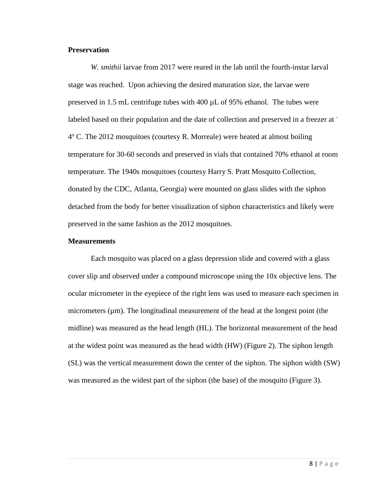#### **Preservation**

*W. smithii* larvae from 2017 were reared in the lab until the fourth-instar larval stage was reached. Upon achieving the desired maturation size, the larvae were preserved in 1.5 mL centrifuge tubes with 400 µL of 95% ethanol. The tubes were labeled based on their population and the date of collection and preserved in a freezer at 4° C. The 2012 mosquitoes (courtesy R. Morreale) were heated at almost boiling temperature for 30-60 seconds and preserved in vials that contained 70% ethanol at room temperature. The 1940s mosquitoes (courtesy Harry S. Pratt Mosquito Collection, donated by the CDC, Atlanta, Georgia) were mounted on glass slides with the siphon detached from the body for better visualization of siphon characteristics and likely were preserved in the same fashion as the 2012 mosquitoes.

#### **Measurements**

Each mosquito was placed on a glass depression slide and covered with a glass cover slip and observed under a compound microscope using the 10x objective lens. The ocular micrometer in the eyepiece of the right lens was used to measure each specimen in micrometers  $(\mu m)$ . The longitudinal measurement of the head at the longest point (the midline) was measured as the head length (HL). The horizontal measurement of the head at the widest point was measured as the head width (HW) (Figure 2). The siphon length (SL) was the vertical measurement down the center of the siphon. The siphon width (SW) was measured as the widest part of the siphon (the base) of the mosquito (Figure 3).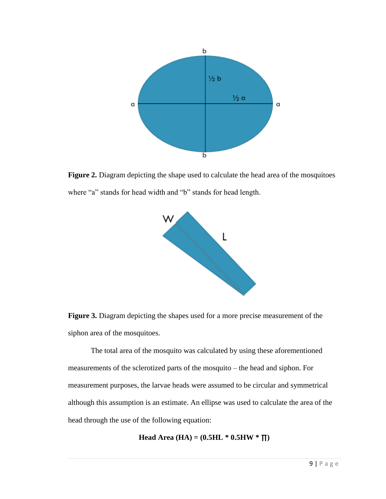

**Figure 2.** Diagram depicting the shape used to calculate the head area of the mosquitoes where "a" stands for head width and "b" stands for head length.



**Figure 3.** Diagram depicting the shapes used for a more precise measurement of the siphon area of the mosquitoes.

The total area of the mosquito was calculated by using these aforementioned measurements of the sclerotized parts of the mosquito – the head and siphon. For measurement purposes, the larvae heads were assumed to be circular and symmetrical although this assumption is an estimate. An ellipse was used to calculate the area of the head through the use of the following equation:

$$
Head Area (HA) = (0.5HL * 0.5HW * T)
$$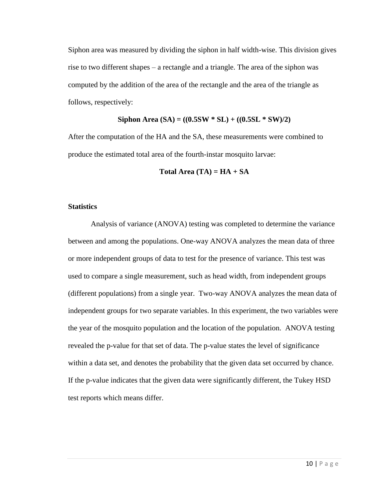Siphon area was measured by dividing the siphon in half width-wise. This division gives rise to two different shapes – a rectangle and a triangle. The area of the siphon was computed by the addition of the area of the rectangle and the area of the triangle as follows, respectively:

#### **Siphon Area (SA) = ((0.5SW \* SL) + ((0.5SL \* SW)/2)**

After the computation of the HA and the SA, these measurements were combined to produce the estimated total area of the fourth-instar mosquito larvae:

**Total Area (TA) =**  $HA + SA$ 

#### **Statistics**

Analysis of variance (ANOVA) testing was completed to determine the variance between and among the populations. One-way ANOVA analyzes the mean data of three or more independent groups of data to test for the presence of variance. This test was used to compare a single measurement, such as head width, from independent groups (different populations) from a single year. Two-way ANOVA analyzes the mean data of independent groups for two separate variables. In this experiment, the two variables were the year of the mosquito population and the location of the population. ANOVA testing revealed the p-value for that set of data. The p-value states the level of significance within a data set, and denotes the probability that the given data set occurred by chance. If the p-value indicates that the given data were significantly different, the Tukey HSD test reports which means differ.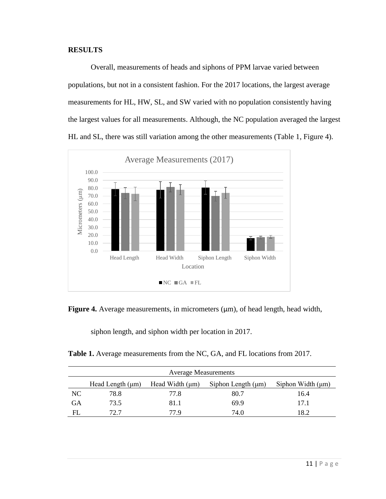## **RESULTS**

Overall, measurements of heads and siphons of PPM larvae varied between populations, but not in a consistent fashion. For the 2017 locations, the largest average measurements for HL, HW, SL, and SW varied with no population consistently having the largest values for all measurements. Although, the NC population averaged the largest HL and SL, there was still variation among the other measurements (Table 1, Figure 4).





siphon length, and siphon width per location in 2017.

Table 1. Average measurements from the NC, GA, and FL locations from 2017.

|    | <b>Average Measurements</b>                                                                        |      |      |      |  |
|----|----------------------------------------------------------------------------------------------------|------|------|------|--|
|    | Siphon Width $(\mu m)$<br>Head Length $(\mu m)$<br>Head Width $(\mu m)$<br>Siphon Length $(\mu m)$ |      |      |      |  |
| NC | 78.8                                                                                               | 77.8 | 80.7 | 16.4 |  |
| GА | 73.5                                                                                               | 81.1 | 69.9 | 17.1 |  |
| FL | 72. 7                                                                                              | 77.9 | 74.0 | .8.2 |  |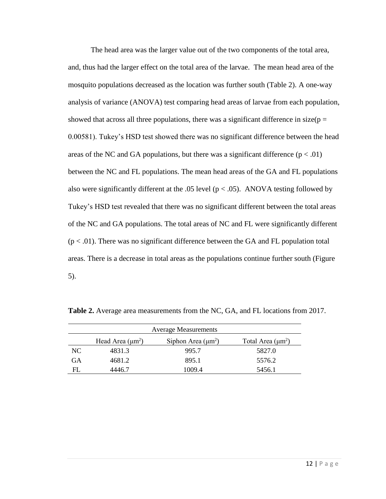The head area was the larger value out of the two components of the total area, and, thus had the larger effect on the total area of the larvae. The mean head area of the mosquito populations decreased as the location was further south (Table 2). A one-way analysis of variance (ANOVA) test comparing head areas of larvae from each population, showed that across all three populations, there was a significant difference in size( $p =$ 0.00581). Tukey's HSD test showed there was no significant difference between the head areas of the NC and GA populations, but there was a significant difference  $(p < .01)$ between the NC and FL populations. The mean head areas of the GA and FL populations also were significantly different at the .05 level ( $p < .05$ ). ANOVA testing followed by Tukey's HSD test revealed that there was no significant different between the total areas of the NC and GA populations. The total areas of NC and FL were significantly different  $(p < .01)$ . There was no significant difference between the GA and FL population total areas. There is a decrease in total areas as the populations continue further south (Figure 5).

| <b>Average Measurements</b> |                       |                         |                        |  |
|-----------------------------|-----------------------|-------------------------|------------------------|--|
|                             | Head Area $(\mu m^2)$ | Siphon Area $(\mu m^2)$ | Total Area $(\mu m^2)$ |  |
| NC.                         | 4831.3                | 995.7                   | 5827.0                 |  |
| GА                          | 4681.2                | 895.1                   | 5576.2                 |  |
| FL                          | 4446.7                | 1009.4                  | 5456.1                 |  |

**Table 2.** Average area measurements from the NC, GA, and FL locations from 2017.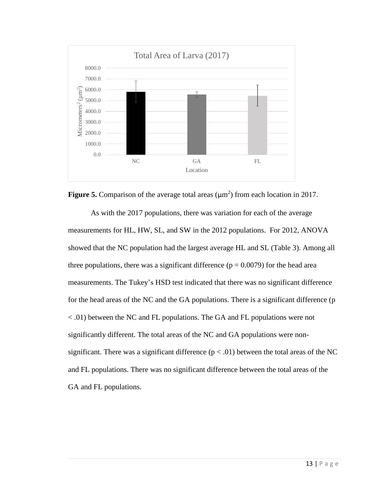



As with the 2017 populations, there was variation for each of the average measurements for HL, HW, SL, and SW in the 2012 populations. For 2012, ANOVA showed that the NC population had the largest average HL and SL (Table 3). Among all three populations, there was a significant difference ( $p = 0.0079$ ) for the head area measurements. The Tukey's HSD test indicated that there was no significant difference for the head areas of the NC and the GA populations. There is a significant difference (p < .01) between the NC and FL populations. The GA and FL populations were not significantly different. The total areas of the NC and GA populations were nonsignificant. There was a significant difference  $(p < .01)$  between the total areas of the NC and FL populations. There was no significant difference between the total areas of the GA and FL populations.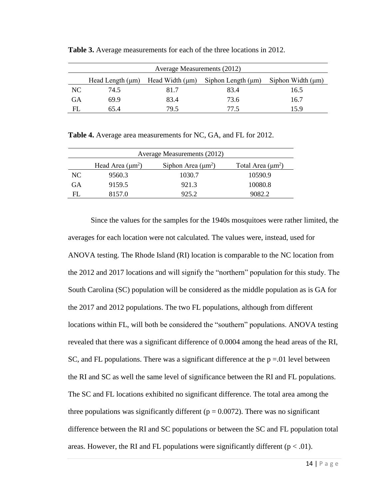|     | Average Measurements (2012)                                                                        |      |      |      |  |
|-----|----------------------------------------------------------------------------------------------------|------|------|------|--|
|     | Head Width $(\mu m)$<br>Siphon Length $(\mu m)$<br>Siphon Width $(\mu m)$<br>Head Length $(\mu m)$ |      |      |      |  |
| NC. | 74.5                                                                                               | 81.7 | 83.4 | 16.5 |  |
| GА  | 69.9                                                                                               | 83.4 | 73.6 | 16.7 |  |
| FL  | 65 4                                                                                               | 79.5 | 77.5 | 15.9 |  |

**Table 3.** Average measurements for each of the three locations in 2012.

**Table 4.** Average area measurements for NC, GA, and FL for 2012.

|           | Average Measurements (2012)                                                |        |         |  |  |  |
|-----------|----------------------------------------------------------------------------|--------|---------|--|--|--|
|           | Head Area $(\mu m^2)$<br>Siphon Area $(\mu m^2)$<br>Total Area $(\mu m^2)$ |        |         |  |  |  |
| NC.       | 9560.3                                                                     | 1030.7 | 10590.9 |  |  |  |
| <b>GA</b> | 9159.5                                                                     | 921.3  | 10080.8 |  |  |  |
| FL.       | 8157.0                                                                     | 925.2  | 9082.2  |  |  |  |

Since the values for the samples for the 1940s mosquitoes were rather limited, the averages for each location were not calculated. The values were, instead, used for ANOVA testing. The Rhode Island (RI) location is comparable to the NC location from the 2012 and 2017 locations and will signify the "northern" population for this study. The South Carolina (SC) population will be considered as the middle population as is GA for the 2017 and 2012 populations. The two FL populations, although from different locations within FL, will both be considered the "southern" populations. ANOVA testing revealed that there was a significant difference of 0.0004 among the head areas of the RI, SC, and FL populations. There was a significant difference at the  $p = 0.01$  level between the RI and SC as well the same level of significance between the RI and FL populations. The SC and FL locations exhibited no significant difference. The total area among the three populations was significantly different ( $p = 0.0072$ ). There was no significant difference between the RI and SC populations or between the SC and FL population total areas. However, the RI and FL populations were significantly different ( $p < .01$ ).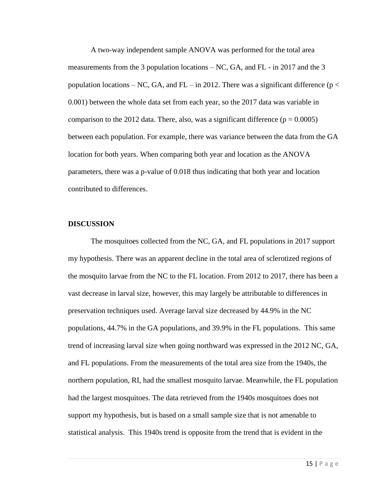A two-way independent sample ANOVA was performed for the total area measurements from the 3 population locations  $- NC$ , GA, and FL - in 2017 and the 3 population locations – NC, GA, and FL – in 2012. There was a significant difference ( $p <$ 0.001) between the whole data set from each year, so the 2017 data was variable in comparison to the 2012 data. There, also, was a significant difference ( $p = 0.0005$ ) between each population. For example, there was variance between the data from the GA location for both years. When comparing both year and location as the ANOVA parameters, there was a p-value of 0.018 thus indicating that both year and location contributed to differences.

#### **DISCUSSION**

The mosquitoes collected from the NC, GA, and FL populations in 2017 support my hypothesis. There was an apparent decline in the total area of sclerotized regions of the mosquito larvae from the NC to the FL location. From 2012 to 2017, there has been a vast decrease in larval size, however, this may largely be attributable to differences in preservation techniques used. Average larval size decreased by 44.9% in the NC populations, 44.7% in the GA populations, and 39.9% in the FL populations. This same trend of increasing larval size when going northward was expressed in the 2012 NC, GA, and FL populations. From the measurements of the total area size from the 1940s, the northern population, RI, had the smallest mosquito larvae. Meanwhile, the FL population had the largest mosquitoes. The data retrieved from the 1940s mosquitoes does not support my hypothesis, but is based on a small sample size that is not amenable to statistical analysis. This 1940s trend is opposite from the trend that is evident in the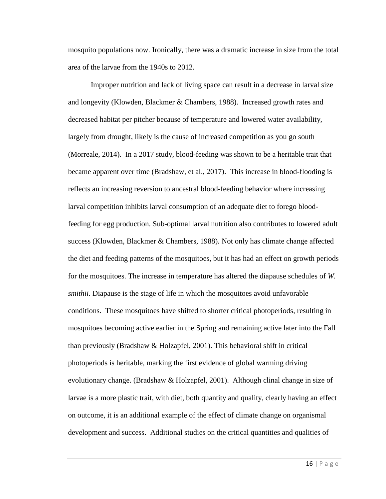mosquito populations now. Ironically, there was a dramatic increase in size from the total area of the larvae from the 1940s to 2012.

Improper nutrition and lack of living space can result in a decrease in larval size and longevity (Klowden, Blackmer & Chambers, 1988). Increased growth rates and decreased habitat per pitcher because of temperature and lowered water availability, largely from drought, likely is the cause of increased competition as you go south (Morreale, 2014). In a 2017 study, blood-feeding was shown to be a heritable trait that became apparent over time (Bradshaw, et al., 2017). This increase in blood-flooding is reflects an increasing reversion to ancestral blood-feeding behavior where increasing larval competition inhibits larval consumption of an adequate diet to forego bloodfeeding for egg production. Sub-optimal larval nutrition also contributes to lowered adult success (Klowden, Blackmer & Chambers, 1988). Not only has climate change affected the diet and feeding patterns of the mosquitoes, but it has had an effect on growth periods for the mosquitoes. The increase in temperature has altered the diapause schedules of *W. smithii*. Diapause is the stage of life in which the mosquitoes avoid unfavorable conditions. These mosquitoes have shifted to shorter critical photoperiods, resulting in mosquitoes becoming active earlier in the Spring and remaining active later into the Fall than previously (Bradshaw & Holzapfel, 2001). This behavioral shift in critical photoperiods is heritable, marking the first evidence of global warming driving evolutionary change. (Bradshaw & Holzapfel, 2001). Although clinal change in size of larvae is a more plastic trait, with diet, both quantity and quality, clearly having an effect on outcome, it is an additional example of the effect of climate change on organismal development and success. Additional studies on the critical quantities and qualities of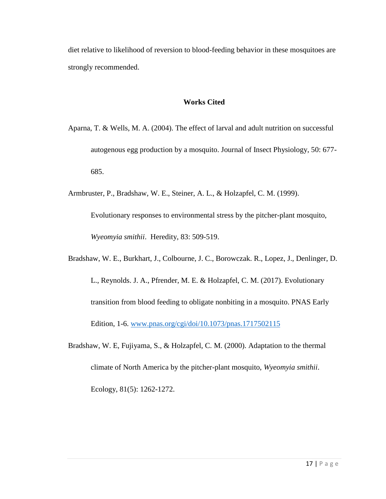diet relative to likelihood of reversion to blood-feeding behavior in these mosquitoes are strongly recommended.

# **Works Cited**

- Aparna, T. & Wells, M. A. (2004). The effect of larval and adult nutrition on successful autogenous egg production by a mosquito. Journal of Insect Physiology, 50: 677- 685.
- Armbruster, P., Bradshaw, W. E., Steiner, A. L., & Holzapfel, C. M. (1999).

Evolutionary responses to environmental stress by the pitcher-plant mosquito, *Wyeomyia smithii*. Heredity, 83: 509-519.

Bradshaw, W. E., Burkhart, J., Colbourne, J. C., Borowczak. R., Lopez, J., Denlinger, D. L., Reynolds. J. A., Pfrender, M. E. & Holzapfel, C. M. (2017). Evolutionary transition from blood feeding to obligate nonbiting in a mosquito. PNAS Early Edition, 1-6. [www.pnas.org/cgi/doi/10.1073/pnas.1717502115](http://www.pnas.org/cgi/doi/10.1073/pnas.1717502115)

Bradshaw, W. E, Fujiyama, S., & Holzapfel, C. M. (2000). Adaptation to the thermal climate of North America by the pitcher-plant mosquito, *Wyeomyia smithii*. Ecology, 81(5): 1262-1272.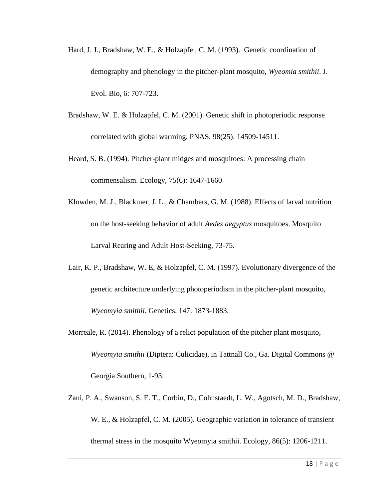- Hard, J. J., Bradshaw, W. E., & Holzapfel, C. M. (1993). Genetic coordination of demography and phenology in the pitcher-plant mosquito, *Wyeomia smithii*. J. Evol. Bio, 6: 707-723.
- Bradshaw, W. E. & Holzapfel, C. M. (2001). Genetic shift in photoperiodic response correlated with global warming. PNAS, 98(25): 14509-14511.
- Heard, S. B. (1994). Pitcher-plant midges and mosquitoes: A processing chain commensalism. Ecology, 75(6): 1647-1660
- Klowden, M. J., Blackmer, J. L., & Chambers, G. M. (1988). Effects of larval nutrition on the host-seeking behavior of adult *Aedes aegyptus* mosquitoes. Mosquito Larval Rearing and Adult Host-Seeking, 73-75.
- Lair, K. P., Bradshaw, W. E, & Holzapfel, C. M. (1997). Evolutionary divergence of the genetic architecture underlying photoperiodism in the pitcher-plant mosquito, *Wyeomyia smithii*. Genetics, 147: 1873-1883.
- Morreale, R. (2014). Phenology of a relict population of the pitcher plant mosquito, *Wyeomyia smithii* (Diptera: Culicidae), in Tattnall Co., Ga. Digital Commons @ Georgia Southern, 1-93.
- Zani, P. A., Swanson, S. E. T., Corbin, D., Cohnstaedt, L. W., Agotsch, M. D., Bradshaw, W. E., & Holzapfel, C. M. (2005). Geographic variation in tolerance of transient thermal stress in the mosquito Wyeomyia smithii. Ecology, 86(5): 1206-1211.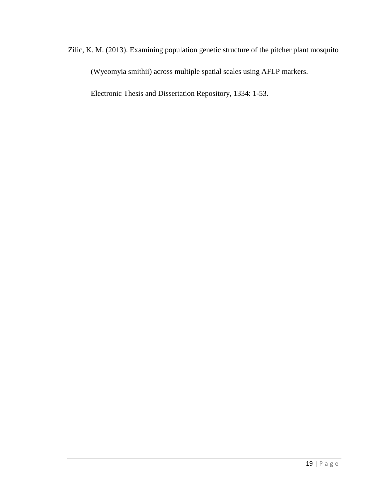Zilic, K. M. (2013). Examining population genetic structure of the pitcher plant mosquito (Wyeomyia smithii) across multiple spatial scales using AFLP markers.

Electronic Thesis and Dissertation Repository, 1334: 1-53.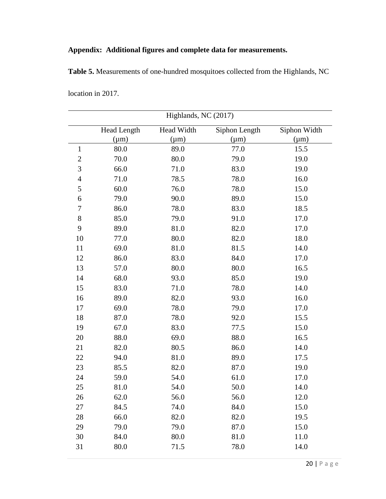# **Appendix: Additional figures and complete data for measurements.**

**Table 5.** Measurements of one-hundred mosquitoes collected from the Highlands, NC

|                | <b>Head Length</b> | Head Width | Siphon Length | Siphon Width |
|----------------|--------------------|------------|---------------|--------------|
|                | $(\mu m)$          | $(\mu m)$  | $(\mu m)$     | $(\mu m)$    |
| $\mathbf{1}$   | 80.0               | 89.0       | 77.0          | 15.5         |
| $\overline{2}$ | 70.0               | 80.0       | 79.0          | 19.0         |
| 3              | 66.0               | 71.0       | 83.0          | 19.0         |
| $\overline{4}$ | 71.0               | 78.5       | 78.0          | 16.0         |
| 5              | 60.0               | 76.0       | 78.0          | 15.0         |
| 6              | 79.0               | 90.0       | 89.0          | 15.0         |
| 7              | 86.0               | 78.0       | 83.0          | 18.5         |
| $8\,$          | 85.0               | 79.0       | 91.0          | 17.0         |
| 9              | 89.0               | 81.0       | 82.0          | 17.0         |
| 10             | 77.0               | 80.0       | 82.0          | 18.0         |
| 11             | 69.0               | 81.0       | 81.5          | 14.0         |
| 12             | 86.0               | 83.0       | 84.0          | 17.0         |
| 13             | 57.0               | 80.0       | 80.0          | 16.5         |
| 14             | 68.0               | 93.0       | 85.0          | 19.0         |
| 15             | 83.0               | 71.0       | 78.0          | 14.0         |
| 16             | 89.0               | 82.0       | 93.0          | 16.0         |
| 17             | 69.0               | 78.0       | 79.0          | 17.0         |
| 18             | 87.0               | 78.0       | 92.0          | 15.5         |
| 19             | 67.0               | 83.0       | 77.5          | 15.0         |
| 20             | 88.0               | 69.0       | 88.0          | 16.5         |
| 21             | 82.0               | 80.5       | 86.0          | 14.0         |
| 22             | 94.0               | 81.0       | 89.0          | 17.5         |
| 23             | 85.5               | 82.0       | 87.0          | 19.0         |
| 24             | 59.0               | 54.0       | 61.0          | 17.0         |
| 25             | 81.0               | 54.0       | 50.0          | 14.0         |
| 26             | 62.0               | 56.0       | 56.0          | 12.0         |
| 27             | 84.5               | 74.0       | 84.0          | 15.0         |
| 28             | 66.0               | 82.0       | 82.0          | 19.5         |
| 29             | 79.0               | 79.0       | 87.0          | 15.0         |
| 30             | 84.0               | 80.0       | 81.0          | 11.0         |
| 31             | $80.0\,$           | 71.5       | 78.0          | 14.0         |

location in 2017.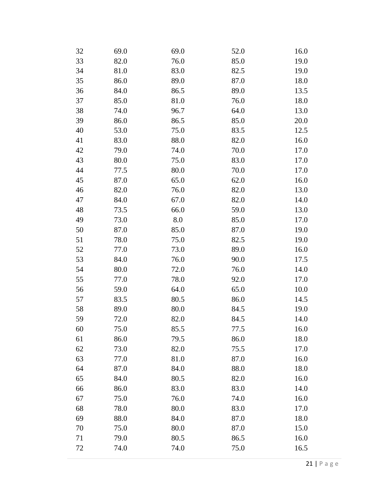| 32 | 69.0 | 69.0 | 52.0 | 16.0 |
|----|------|------|------|------|
| 33 | 82.0 | 76.0 | 85.0 | 19.0 |
| 34 | 81.0 | 83.0 | 82.5 | 19.0 |
| 35 | 86.0 | 89.0 | 87.0 | 18.0 |
| 36 | 84.0 | 86.5 | 89.0 | 13.5 |
| 37 | 85.0 | 81.0 | 76.0 | 18.0 |
| 38 | 74.0 | 96.7 | 64.0 | 13.0 |
| 39 | 86.0 | 86.5 | 85.0 | 20.0 |
| 40 | 53.0 | 75.0 | 83.5 | 12.5 |
| 41 | 83.0 | 88.0 | 82.0 | 16.0 |
| 42 | 79.0 | 74.0 | 70.0 | 17.0 |
| 43 | 80.0 | 75.0 | 83.0 | 17.0 |
| 44 | 77.5 | 80.0 | 70.0 | 17.0 |
| 45 | 87.0 | 65.0 | 62.0 | 16.0 |
| 46 | 82.0 | 76.0 | 82.0 | 13.0 |
| 47 | 84.0 | 67.0 | 82.0 | 14.0 |
| 48 | 73.5 | 66.0 | 59.0 | 13.0 |
| 49 | 73.0 | 8.0  | 85.0 | 17.0 |
| 50 | 87.0 | 85.0 | 87.0 | 19.0 |
| 51 | 78.0 | 75.0 | 82.5 | 19.0 |
| 52 | 77.0 | 73.0 | 89.0 | 16.0 |
| 53 | 84.0 | 76.0 | 90.0 | 17.5 |
| 54 | 80.0 | 72.0 | 76.0 | 14.0 |
| 55 | 77.0 | 78.0 | 92.0 | 17.0 |
| 56 | 59.0 | 64.0 | 65.0 | 10.0 |
| 57 | 83.5 | 80.5 | 86.0 | 14.5 |
| 58 | 89.0 | 80.0 | 84.5 | 19.0 |
| 59 | 72.0 | 82.0 | 84.5 | 14.0 |
| 60 | 75.0 | 85.5 | 77.5 | 16.0 |
| 61 | 86.0 | 79.5 | 86.0 | 18.0 |
| 62 | 73.0 | 82.0 | 75.5 | 17.0 |
| 63 | 77.0 | 81.0 | 87.0 | 16.0 |
| 64 | 87.0 | 84.0 | 88.0 | 18.0 |
| 65 | 84.0 | 80.5 | 82.0 | 16.0 |
| 66 | 86.0 | 83.0 | 83.0 | 14.0 |
| 67 | 75.0 | 76.0 | 74.0 | 16.0 |
| 68 | 78.0 | 80.0 | 83.0 | 17.0 |
| 69 | 88.0 | 84.0 | 87.0 | 18.0 |
| 70 | 75.0 | 80.0 | 87.0 | 15.0 |
| 71 | 79.0 | 80.5 | 86.5 | 16.0 |
| 72 | 74.0 | 74.0 | 75.0 | 16.5 |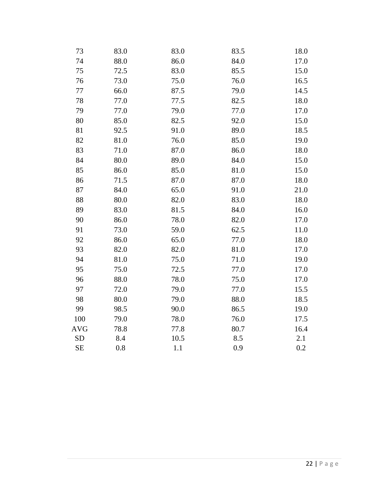| 73         | 83.0 | 83.0 | 83.5 | 18.0 |
|------------|------|------|------|------|
| 74         | 88.0 | 86.0 | 84.0 | 17.0 |
| 75         | 72.5 | 83.0 | 85.5 | 15.0 |
| 76         | 73.0 | 75.0 | 76.0 | 16.5 |
| 77         | 66.0 | 87.5 | 79.0 | 14.5 |
| 78         | 77.0 | 77.5 | 82.5 | 18.0 |
| 79         | 77.0 | 79.0 | 77.0 | 17.0 |
| 80         | 85.0 | 82.5 | 92.0 | 15.0 |
| 81         | 92.5 | 91.0 | 89.0 | 18.5 |
| 82         | 81.0 | 76.0 | 85.0 | 19.0 |
| 83         | 71.0 | 87.0 | 86.0 | 18.0 |
| 84         | 80.0 | 89.0 | 84.0 | 15.0 |
| 85         | 86.0 | 85.0 | 81.0 | 15.0 |
| 86         | 71.5 | 87.0 | 87.0 | 18.0 |
| 87         | 84.0 | 65.0 | 91.0 | 21.0 |
| 88         | 80.0 | 82.0 | 83.0 | 18.0 |
| 89         | 83.0 | 81.5 | 84.0 | 16.0 |
| 90         | 86.0 | 78.0 | 82.0 | 17.0 |
| 91         | 73.0 | 59.0 | 62.5 | 11.0 |
| 92         | 86.0 | 65.0 | 77.0 | 18.0 |
| 93         | 82.0 | 82.0 | 81.0 | 17.0 |
| 94         | 81.0 | 75.0 | 71.0 | 19.0 |
| 95         | 75.0 | 72.5 | 77.0 | 17.0 |
| 96         | 88.0 | 78.0 | 75.0 | 17.0 |
| 97         | 72.0 | 79.0 | 77.0 | 15.5 |
| 98         | 80.0 | 79.0 | 88.0 | 18.5 |
| 99         | 98.5 | 90.0 | 86.5 | 19.0 |
| 100        | 79.0 | 78.0 | 76.0 | 17.5 |
| <b>AVG</b> | 78.8 | 77.8 | 80.7 | 16.4 |
| <b>SD</b>  | 8.4  | 10.5 | 8.5  | 2.1  |
| <b>SE</b>  | 0.8  | 1.1  | 0.9  | 0.2  |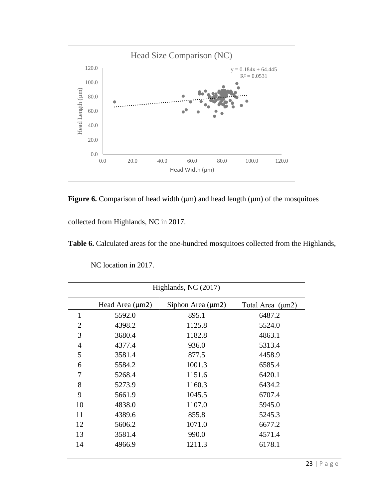

**Figure 6.** Comparison of head width  $(\mu m)$  and head length  $(\mu m)$  of the mosquitoes

collected from Highlands, NC in 2017.

**Table 6.** Calculated areas for the one-hundred mosquitoes collected from the Highlands,

| NC location in 2017. |  |  |
|----------------------|--|--|
|----------------------|--|--|

| Highlands, NC (2017) |                      |                        |                       |  |
|----------------------|----------------------|------------------------|-----------------------|--|
|                      | Head Area $(\mu m2)$ | Siphon Area $(\mu m2)$ | Total Area $(\mu m2)$ |  |
| $\mathbf{1}$         | 5592.0               | 895.1                  | 6487.2                |  |
| $\overline{2}$       | 4398.2               | 1125.8                 | 5524.0                |  |
| 3                    | 3680.4               | 1182.8                 | 4863.1                |  |
| $\overline{4}$       | 4377.4               | 936.0                  | 5313.4                |  |
| 5                    | 3581.4               | 877.5                  | 4458.9                |  |
| 6                    | 5584.2               | 1001.3                 | 6585.4                |  |
| 7                    | 5268.4               | 1151.6                 | 6420.1                |  |
| 8                    | 5273.9               | 1160.3                 | 6434.2                |  |
| 9                    | 5661.9               | 1045.5                 | 6707.4                |  |
| 10                   | 4838.0               | 1107.0                 | 5945.0                |  |
| 11                   | 4389.6               | 855.8                  | 5245.3                |  |
| 12                   | 5606.2               | 1071.0                 | 6677.2                |  |
| 13                   | 3581.4               | 990.0                  | 4571.4                |  |
| 14                   | 4966.9               | 1211.3                 | 6178.1                |  |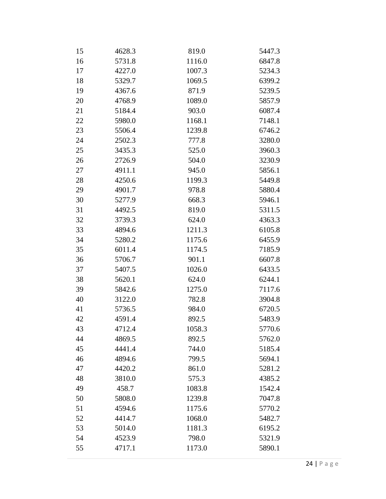| 15 | 4628.3 | 819.0  | 5447.3 |
|----|--------|--------|--------|
| 16 | 5731.8 | 1116.0 | 6847.8 |
| 17 | 4227.0 | 1007.3 | 5234.3 |
| 18 | 5329.7 | 1069.5 | 6399.2 |
| 19 | 4367.6 | 871.9  | 5239.5 |
| 20 | 4768.9 | 1089.0 | 5857.9 |
| 21 | 5184.4 | 903.0  | 6087.4 |
| 22 | 5980.0 | 1168.1 | 7148.1 |
| 23 | 5506.4 | 1239.8 | 6746.2 |
| 24 | 2502.3 | 777.8  | 3280.0 |
| 25 | 3435.3 | 525.0  | 3960.3 |
| 26 | 2726.9 | 504.0  | 3230.9 |
| 27 | 4911.1 | 945.0  | 5856.1 |
| 28 | 4250.6 | 1199.3 | 5449.8 |
| 29 | 4901.7 | 978.8  | 5880.4 |
| 30 | 5277.9 | 668.3  | 5946.1 |
| 31 | 4492.5 | 819.0  | 5311.5 |
| 32 | 3739.3 | 624.0  | 4363.3 |
| 33 | 4894.6 | 1211.3 | 6105.8 |
| 34 | 5280.2 | 1175.6 | 6455.9 |
| 35 | 6011.4 | 1174.5 | 7185.9 |
| 36 | 5706.7 | 901.1  | 6607.8 |
| 37 | 5407.5 | 1026.0 | 6433.5 |
| 38 | 5620.1 | 624.0  | 6244.1 |
| 39 | 5842.6 | 1275.0 | 7117.6 |
| 40 | 3122.0 | 782.8  | 3904.8 |
| 41 | 5736.5 | 984.0  | 6720.5 |
| 42 | 4591.4 | 892.5  | 5483.9 |
| 43 | 4712.4 | 1058.3 | 5770.6 |
| 44 | 4869.5 | 892.5  | 5762.0 |
| 45 | 4441.4 | 744.0  | 5185.4 |
| 46 | 4894.6 | 799.5  | 5694.1 |
| 47 | 4420.2 | 861.0  | 5281.2 |
| 48 | 3810.0 | 575.3  | 4385.2 |
| 49 | 458.7  | 1083.8 | 1542.4 |
| 50 | 5808.0 | 1239.8 | 7047.8 |
| 51 | 4594.6 | 1175.6 | 5770.2 |
| 52 | 4414.7 | 1068.0 | 5482.7 |
| 53 | 5014.0 | 1181.3 | 6195.2 |
| 54 | 4523.9 | 798.0  | 5321.9 |
| 55 | 4717.1 | 1173.0 | 5890.1 |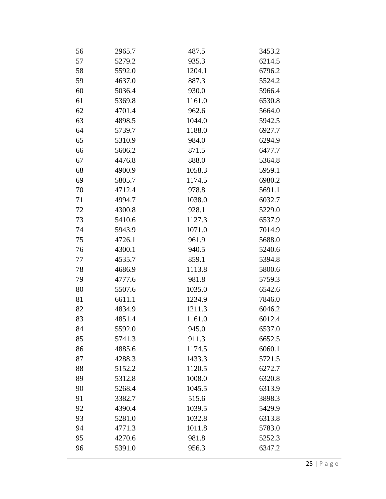| 56 | 2965.7 | 487.5  | 3453.2 |
|----|--------|--------|--------|
| 57 | 5279.2 | 935.3  | 6214.5 |
| 58 | 5592.0 | 1204.1 | 6796.2 |
| 59 | 4637.0 | 887.3  | 5524.2 |
| 60 | 5036.4 | 930.0  | 5966.4 |
| 61 | 5369.8 | 1161.0 | 6530.8 |
| 62 | 4701.4 | 962.6  | 5664.0 |
| 63 | 4898.5 | 1044.0 | 5942.5 |
| 64 | 5739.7 | 1188.0 | 6927.7 |
| 65 | 5310.9 | 984.0  | 6294.9 |
| 66 | 5606.2 | 871.5  | 6477.7 |
| 67 | 4476.8 | 888.0  | 5364.8 |
| 68 | 4900.9 | 1058.3 | 5959.1 |
| 69 | 5805.7 | 1174.5 | 6980.2 |
| 70 | 4712.4 | 978.8  | 5691.1 |
| 71 | 4994.7 | 1038.0 | 6032.7 |
| 72 | 4300.8 | 928.1  | 5229.0 |
| 73 | 5410.6 | 1127.3 | 6537.9 |
| 74 | 5943.9 | 1071.0 | 7014.9 |
| 75 | 4726.1 | 961.9  | 5688.0 |
| 76 | 4300.1 | 940.5  | 5240.6 |
| 77 | 4535.7 | 859.1  | 5394.8 |
| 78 | 4686.9 | 1113.8 | 5800.6 |
| 79 | 4777.6 | 981.8  | 5759.3 |
| 80 | 5507.6 | 1035.0 | 6542.6 |
| 81 | 6611.1 | 1234.9 | 7846.0 |
| 82 | 4834.9 | 1211.3 | 6046.2 |
| 83 | 4851.4 | 1161.0 | 6012.4 |
| 84 | 5592.0 | 945.0  | 6537.0 |
| 85 | 5741.3 | 911.3  | 6652.5 |
| 86 | 4885.6 | 1174.5 | 6060.1 |
| 87 | 4288.3 | 1433.3 | 5721.5 |
| 88 | 5152.2 | 1120.5 | 6272.7 |
| 89 | 5312.8 | 1008.0 | 6320.8 |
| 90 | 5268.4 | 1045.5 | 6313.9 |
| 91 | 3382.7 | 515.6  | 3898.3 |
| 92 | 4390.4 | 1039.5 | 5429.9 |
| 93 | 5281.0 | 1032.8 | 6313.8 |
| 94 | 4771.3 | 1011.8 | 5783.0 |
| 95 | 4270.6 | 981.8  | 5252.3 |
| 96 | 5391.0 | 956.3  | 6347.2 |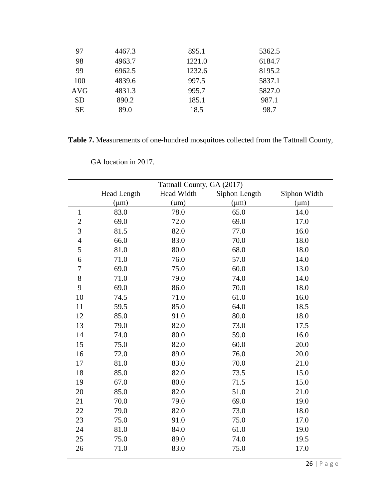| 97        | 4467.3 | 895.1  | 5362.5 |
|-----------|--------|--------|--------|
|           |        |        |        |
| 98        | 4963.7 | 1221.0 | 6184.7 |
| 99        | 6962.5 | 1232.6 | 8195.2 |
| 100       | 4839.6 | 997.5  | 5837.1 |
| AVG       | 4831.3 | 995.7  | 5827.0 |
| <b>SD</b> | 890.2  | 185.1  | 987.1  |
| <b>SE</b> | 89.0   | 18.5   | 98.7   |
|           |        |        |        |

**Table 7.** Measurements of one-hundred mosquitoes collected from the Tattnall County,

|                |             | Tattnall County, GA (2017) |               |              |
|----------------|-------------|----------------------------|---------------|--------------|
|                | Head Length | Head Width                 | Siphon Length | Siphon Width |
|                | $(\mu m)$   | $(\mu m)$                  | $(\mu m)$     | $(\mu m)$    |
| $\mathbf{1}$   | 83.0        | 78.0                       | 65.0          | 14.0         |
| $\overline{c}$ | 69.0        | 72.0                       | 69.0          | 17.0         |
| 3              | 81.5        | 82.0                       | 77.0          | 16.0         |
| $\overline{4}$ | 66.0        | 83.0                       | 70.0          | 18.0         |
| 5              | 81.0        | 80.0                       | 68.0          | 18.0         |
| 6              | 71.0        | 76.0                       | 57.0          | 14.0         |
| $\overline{7}$ | 69.0        | 75.0                       | 60.0          | 13.0         |
| 8              | 71.0        | 79.0                       | 74.0          | 14.0         |
| 9              | 69.0        | 86.0                       | 70.0          | 18.0         |
| 10             | 74.5        | 71.0                       | 61.0          | 16.0         |
| 11             | 59.5        | 85.0                       | 64.0          | 18.5         |
| 12             | 85.0        | 91.0                       | 80.0          | 18.0         |
| 13             | 79.0        | 82.0                       | 73.0          | 17.5         |
| 14             | 74.0        | 80.0                       | 59.0          | 16.0         |
| 15             | 75.0        | 82.0                       | 60.0          | 20.0         |
| 16             | 72.0        | 89.0                       | 76.0          | 20.0         |
| 17             | 81.0        | 83.0                       | 70.0          | 21.0         |
| 18             | 85.0        | 82.0                       | 73.5          | 15.0         |
| 19             | 67.0        | 80.0                       | 71.5          | 15.0         |
| 20             | 85.0        | 82.0                       | 51.0          | 21.0         |
| 21             | 70.0        | 79.0                       | 69.0          | 19.0         |
| 22             | 79.0        | 82.0                       | 73.0          | 18.0         |
| 23             | 75.0        | 91.0                       | 75.0          | 17.0         |
| 24             | 81.0        | 84.0                       | 61.0          | 19.0         |
| 25             | 75.0        | 89.0                       | 74.0          | 19.5         |
| 26             | 71.0        | 83.0                       | 75.0          | 17.0         |

GA location in 2017.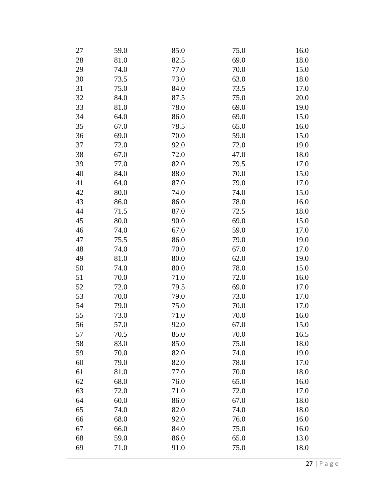| 27 | 59.0 | 85.0 | 75.0 | 16.0 |
|----|------|------|------|------|
| 28 | 81.0 | 82.5 | 69.0 | 18.0 |
| 29 | 74.0 | 77.0 | 70.0 | 15.0 |
| 30 | 73.5 | 73.0 | 63.0 | 18.0 |
| 31 | 75.0 | 84.0 | 73.5 | 17.0 |
| 32 | 84.0 | 87.5 | 75.0 | 20.0 |
| 33 | 81.0 | 78.0 | 69.0 | 19.0 |
| 34 | 64.0 | 86.0 | 69.0 | 15.0 |
| 35 | 67.0 | 78.5 | 65.0 | 16.0 |
| 36 | 69.0 | 70.0 | 59.0 | 15.0 |
| 37 | 72.0 | 92.0 | 72.0 | 19.0 |
| 38 | 67.0 | 72.0 | 47.0 | 18.0 |
| 39 | 77.0 | 82.0 | 79.5 | 17.0 |
| 40 | 84.0 | 88.0 | 70.0 | 15.0 |
| 41 | 64.0 | 87.0 | 79.0 | 17.0 |
| 42 | 80.0 | 74.0 | 74.0 | 15.0 |
| 43 | 86.0 | 86.0 | 78.0 | 16.0 |
| 44 | 71.5 | 87.0 | 72.5 | 18.0 |
| 45 | 80.0 | 90.0 | 69.0 | 15.0 |
| 46 | 74.0 | 67.0 | 59.0 | 17.0 |
| 47 | 75.5 | 86.0 | 79.0 | 19.0 |
| 48 | 74.0 | 70.0 | 67.0 | 17.0 |
| 49 | 81.0 | 80.0 | 62.0 | 19.0 |
| 50 | 74.0 | 80.0 | 78.0 | 15.0 |
| 51 | 70.0 | 71.0 | 72.0 | 16.0 |
| 52 | 72.0 | 79.5 | 69.0 | 17.0 |
| 53 | 70.0 | 79.0 | 73.0 | 17.0 |
| 54 | 79.0 | 75.0 | 70.0 | 17.0 |
| 55 | 73.0 | 71.0 | 70.0 | 16.0 |
| 56 | 57.0 | 92.0 | 67.0 | 15.0 |
| 57 | 70.5 | 85.0 | 70.0 | 16.5 |
| 58 | 83.0 | 85.0 | 75.0 | 18.0 |
| 59 | 70.0 | 82.0 | 74.0 | 19.0 |
| 60 | 79.0 | 82.0 | 78.0 | 17.0 |
| 61 | 81.0 | 77.0 | 70.0 | 18.0 |
| 62 | 68.0 | 76.0 | 65.0 | 16.0 |
| 63 | 72.0 | 71.0 | 72.0 | 17.0 |
| 64 | 60.0 | 86.0 | 67.0 | 18.0 |
| 65 | 74.0 | 82.0 | 74.0 | 18.0 |
| 66 | 68.0 | 92.0 | 76.0 | 16.0 |
| 67 | 66.0 | 84.0 | 75.0 | 16.0 |
| 68 | 59.0 | 86.0 | 65.0 | 13.0 |
| 69 | 71.0 | 91.0 | 75.0 | 18.0 |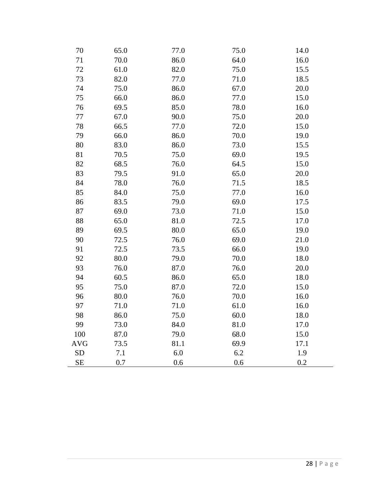| 70         | 65.0 | 77.0 | 75.0 | 14.0 |
|------------|------|------|------|------|
| 71         | 70.0 | 86.0 | 64.0 | 16.0 |
| 72         | 61.0 | 82.0 | 75.0 | 15.5 |
| 73         | 82.0 | 77.0 | 71.0 | 18.5 |
| 74         | 75.0 | 86.0 | 67.0 | 20.0 |
| 75         | 66.0 | 86.0 | 77.0 | 15.0 |
| 76         | 69.5 | 85.0 | 78.0 | 16.0 |
| 77         | 67.0 | 90.0 | 75.0 | 20.0 |
| 78         | 66.5 | 77.0 | 72.0 | 15.0 |
| 79         | 66.0 | 86.0 | 70.0 | 19.0 |
| 80         | 83.0 | 86.0 | 73.0 | 15.5 |
| 81         | 70.5 | 75.0 | 69.0 | 19.5 |
| 82         | 68.5 | 76.0 | 64.5 | 15.0 |
| 83         | 79.5 | 91.0 | 65.0 | 20.0 |
| 84         | 78.0 | 76.0 | 71.5 | 18.5 |
| 85         | 84.0 | 75.0 | 77.0 | 16.0 |
| 86         | 83.5 | 79.0 | 69.0 | 17.5 |
| 87         | 69.0 | 73.0 | 71.0 | 15.0 |
| 88         | 65.0 | 81.0 | 72.5 | 17.0 |
| 89         | 69.5 | 80.0 | 65.0 | 19.0 |
| 90         | 72.5 | 76.0 | 69.0 | 21.0 |
| 91         | 72.5 | 73.5 | 66.0 | 19.0 |
| 92         | 80.0 | 79.0 | 70.0 | 18.0 |
| 93         | 76.0 | 87.0 | 76.0 | 20.0 |
| 94         | 60.5 | 86.0 | 65.0 | 18.0 |
| 95         | 75.0 | 87.0 | 72.0 | 15.0 |
| 96         | 80.0 | 76.0 | 70.0 | 16.0 |
| 97         | 71.0 | 71.0 | 61.0 | 16.0 |
| 98         | 86.0 | 75.0 | 60.0 | 18.0 |
| 99         | 73.0 | 84.0 | 81.0 | 17.0 |
| 100        | 87.0 | 79.0 | 68.0 | 15.0 |
| <b>AVG</b> | 73.5 | 81.1 | 69.9 | 17.1 |
| <b>SD</b>  | 7.1  | 6.0  | 6.2  | 1.9  |
| <b>SE</b>  | 0.7  | 0.6  | 0.6  | 0.2  |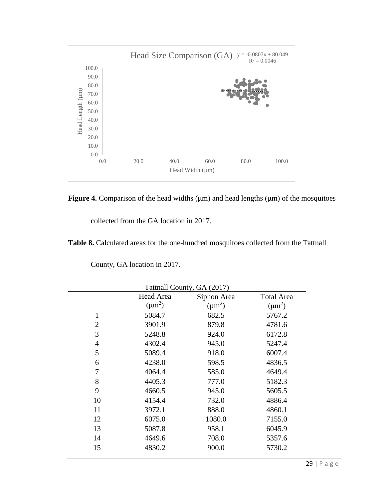

**Figure 4.** Comparison of the head widths  $(\mu m)$  and head lengths  $(\mu m)$  of the mosquitoes

collected from the GA location in 2017.

**Table 8.** Calculated areas for the one-hundred mosquitoes collected from the Tattnall

| Tattnall County, GA (2017)                    |             |             |  |  |
|-----------------------------------------------|-------------|-------------|--|--|
| Head Area<br>Siphon Area<br><b>Total Area</b> |             |             |  |  |
| $(\mu m^2)$                                   | $(\mu m^2)$ | $(\mu m^2)$ |  |  |
| 5084.7                                        | 682.5       | 5767.2      |  |  |
| 3901.9                                        | 879.8       | 4781.6      |  |  |
| 5248.8                                        | 924.0       | 6172.8      |  |  |
| 4302.4                                        | 945.0       | 5247.4      |  |  |
| 5089.4                                        | 918.0       | 6007.4      |  |  |
| 4238.0                                        | 598.5       | 4836.5      |  |  |
| 4064.4                                        | 585.0       | 4649.4      |  |  |
| 4405.3                                        | 777.0       | 5182.3      |  |  |
| 4660.5                                        | 945.0       | 5605.5      |  |  |
| 4154.4                                        | 732.0       | 4886.4      |  |  |
| 3972.1                                        | 888.0       | 4860.1      |  |  |
| 6075.0                                        | 1080.0      | 7155.0      |  |  |
| 5087.8                                        | 958.1       | 6045.9      |  |  |
| 4649.6                                        | 708.0       | 5357.6      |  |  |
| 4830.2                                        | 900.0       | 5730.2      |  |  |
|                                               |             |             |  |  |

County, GA location in 2017.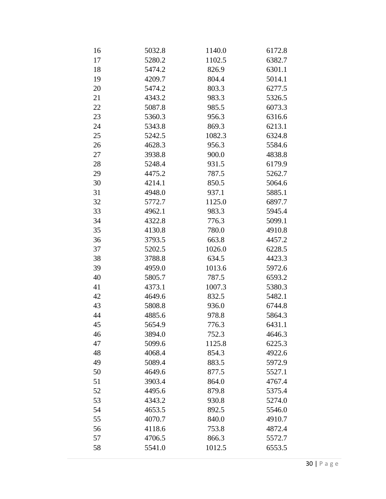| 16 | 5032.8 | 1140.0 | 6172.8 |
|----|--------|--------|--------|
| 17 | 5280.2 | 1102.5 | 6382.7 |
| 18 | 5474.2 | 826.9  | 6301.1 |
| 19 | 4209.7 | 804.4  | 5014.1 |
| 20 | 5474.2 | 803.3  | 6277.5 |
| 21 | 4343.2 | 983.3  | 5326.5 |
| 22 | 5087.8 | 985.5  | 6073.3 |
| 23 | 5360.3 | 956.3  | 6316.6 |
| 24 | 5343.8 | 869.3  | 6213.1 |
| 25 | 5242.5 | 1082.3 | 6324.8 |
| 26 | 4628.3 | 956.3  | 5584.6 |
| 27 | 3938.8 | 900.0  | 4838.8 |
| 28 | 5248.4 | 931.5  | 6179.9 |
| 29 | 4475.2 | 787.5  | 5262.7 |
| 30 | 4214.1 | 850.5  | 5064.6 |
| 31 | 4948.0 | 937.1  | 5885.1 |
| 32 | 5772.7 | 1125.0 | 6897.7 |
| 33 | 4962.1 | 983.3  | 5945.4 |
| 34 | 4322.8 | 776.3  | 5099.1 |
| 35 | 4130.8 | 780.0  | 4910.8 |
| 36 | 3793.5 | 663.8  | 4457.2 |
| 37 | 5202.5 | 1026.0 | 6228.5 |
| 38 | 3788.8 | 634.5  | 4423.3 |
| 39 | 4959.0 | 1013.6 | 5972.6 |
| 40 | 5805.7 | 787.5  | 6593.2 |
| 41 | 4373.1 | 1007.3 | 5380.3 |
| 42 | 4649.6 | 832.5  | 5482.1 |
| 43 | 5808.8 | 936.0  | 6744.8 |
| 44 | 4885.6 | 978.8  | 5864.3 |
| 45 | 5654.9 | 776.3  | 6431.1 |
| 46 | 3894.0 | 752.3  | 4646.3 |
| 47 | 5099.6 | 1125.8 | 6225.3 |
| 48 | 4068.4 | 854.3  | 4922.6 |
| 49 | 5089.4 | 883.5  | 5972.9 |
| 50 | 4649.6 | 877.5  | 5527.1 |
| 51 | 3903.4 | 864.0  | 4767.4 |
| 52 | 4495.6 | 879.8  | 5375.4 |
| 53 | 4343.2 | 930.8  | 5274.0 |
| 54 | 4653.5 | 892.5  | 5546.0 |
| 55 | 4070.7 | 840.0  | 4910.7 |
| 56 | 4118.6 | 753.8  | 4872.4 |
| 57 | 4706.5 | 866.3  | 5572.7 |
| 58 | 5541.0 | 1012.5 | 6553.5 |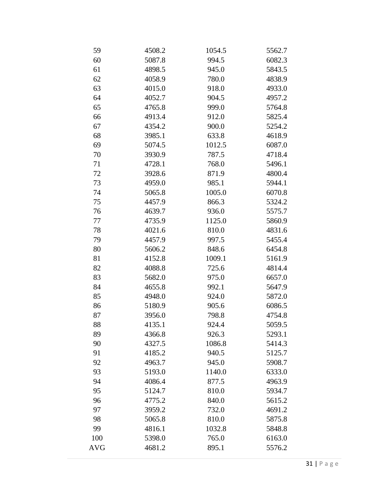| 59         | 4508.2 | 1054.5 | 5562.7 |
|------------|--------|--------|--------|
| 60         | 5087.8 | 994.5  | 6082.3 |
| 61         | 4898.5 | 945.0  | 5843.5 |
| 62         | 4058.9 | 780.0  | 4838.9 |
| 63         | 4015.0 | 918.0  | 4933.0 |
| 64         | 4052.7 | 904.5  | 4957.2 |
| 65         | 4765.8 | 999.0  | 5764.8 |
| 66         | 4913.4 | 912.0  | 5825.4 |
| 67         | 4354.2 | 900.0  | 5254.2 |
| 68         | 3985.1 | 633.8  | 4618.9 |
| 69         | 5074.5 | 1012.5 | 6087.0 |
| 70         | 3930.9 | 787.5  | 4718.4 |
| 71         | 4728.1 | 768.0  | 5496.1 |
| 72         | 3928.6 | 871.9  | 4800.4 |
| 73         | 4959.0 | 985.1  | 5944.1 |
| 74         | 5065.8 | 1005.0 | 6070.8 |
| 75         | 4457.9 | 866.3  | 5324.2 |
| 76         | 4639.7 | 936.0  | 5575.7 |
| 77         | 4735.9 | 1125.0 | 5860.9 |
| 78         | 4021.6 | 810.0  | 4831.6 |
| 79         | 4457.9 | 997.5  | 5455.4 |
| 80         | 5606.2 | 848.6  | 6454.8 |
| 81         | 4152.8 | 1009.1 | 5161.9 |
| 82         | 4088.8 | 725.6  | 4814.4 |
| 83         | 5682.0 | 975.0  | 6657.0 |
| 84         | 4655.8 | 992.1  | 5647.9 |
| 85         | 4948.0 | 924.0  | 5872.0 |
| 86         | 5180.9 | 905.6  | 6086.5 |
| 87         | 3956.0 | 798.8  | 4754.8 |
| 88         | 4135.1 | 924.4  | 5059.5 |
| 89         | 4366.8 | 926.3  | 5293.1 |
| 90         | 4327.5 | 1086.8 | 5414.3 |
| 91         | 4185.2 | 940.5  | 5125.7 |
| 92         | 4963.7 | 945.0  | 5908.7 |
| 93         | 5193.0 | 1140.0 | 6333.0 |
| 94         | 4086.4 | 877.5  | 4963.9 |
| 95         | 5124.7 | 810.0  | 5934.7 |
| 96         | 4775.2 | 840.0  | 5615.2 |
| 97         | 3959.2 | 732.0  | 4691.2 |
| 98         | 5065.8 | 810.0  | 5875.8 |
| 99         | 4816.1 | 1032.8 | 5848.8 |
| 100        | 5398.0 | 765.0  | 6163.0 |
| <b>AVG</b> | 4681.2 | 895.1  | 5576.2 |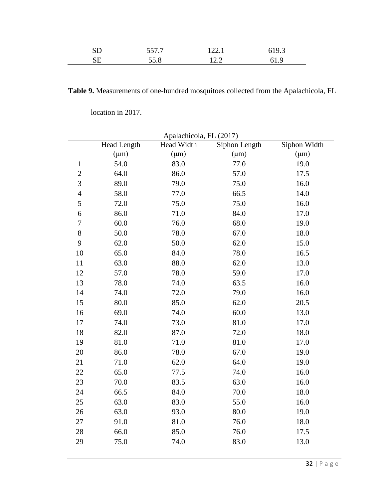| SD | 557.7<br>JJ I . I | 122.1 | 6193<br>v., ., |  |
|----|-------------------|-------|----------------|--|
| SЕ | 55.8              | 12.2  | 61.9           |  |

**Table 9.** Measurements of one-hundred mosquitoes collected from the Apalachicola, FL

|                |                    | Apalachicola, FL (2017) |               |              |
|----------------|--------------------|-------------------------|---------------|--------------|
|                | <b>Head Length</b> | Head Width              | Siphon Length | Siphon Width |
|                | $(\mu m)$          | $(\mu m)$               | $(\mu m)$     | $(\mu m)$    |
| $\mathbf{1}$   | 54.0               | 83.0                    | 77.0          | 19.0         |
| $\overline{2}$ | 64.0               | 86.0                    | 57.0          | 17.5         |
| 3              | 89.0               | 79.0                    | 75.0          | 16.0         |
| $\overline{4}$ | 58.0               | 77.0                    | 66.5          | 14.0         |
| 5              | 72.0               | 75.0                    | 75.0          | 16.0         |
| 6              | 86.0               | 71.0                    | 84.0          | 17.0         |
| $\overline{7}$ | 60.0               | 76.0                    | 68.0          | 19.0         |
| 8              | 50.0               | 78.0                    | 67.0          | 18.0         |
| 9              | 62.0               | 50.0                    | 62.0          | 15.0         |
| 10             | 65.0               | 84.0                    | 78.0          | 16.5         |
| 11             | 63.0               | 88.0                    | 62.0          | 13.0         |
| 12             | 57.0               | 78.0                    | 59.0          | 17.0         |
| 13             | 78.0               | 74.0                    | 63.5          | 16.0         |
| 14             | 74.0               | 72.0                    | 79.0          | 16.0         |
| 15             | 80.0               | 85.0                    | 62.0          | 20.5         |
| 16             | 69.0               | 74.0                    | 60.0          | 13.0         |
| 17             | 74.0               | 73.0                    | 81.0          | 17.0         |
| 18             | 82.0               | 87.0                    | 72.0          | 18.0         |
| 19             | 81.0               | 71.0                    | 81.0          | 17.0         |
| 20             | 86.0               | 78.0                    | 67.0          | 19.0         |
| 21             | 71.0               | 62.0                    | 64.0          | 19.0         |
| 22             | 65.0               | 77.5                    | 74.0          | 16.0         |
| 23             | 70.0               | 83.5                    | 63.0          | 16.0         |
| 24             | 66.5               | 84.0                    | 70.0          | 18.0         |
| 25             | 63.0               | 83.0                    | 55.0          | 16.0         |
| 26             | 63.0               | 93.0                    | 80.0          | 19.0         |
| 27             | 91.0               | 81.0                    | 76.0          | 18.0         |
| 28             | 66.0               | 85.0                    | 76.0          | 17.5         |
| 29             | 75.0               | 74.0                    | 83.0          | 13.0         |

location in 2017.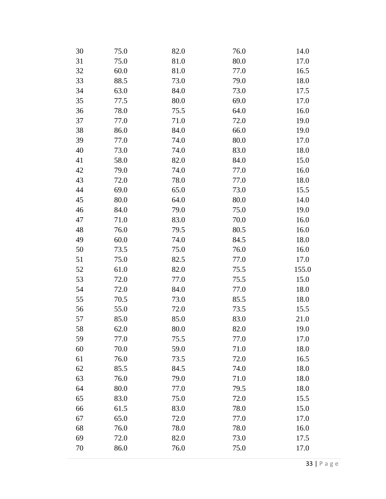| 30 | 75.0 | 82.0 | 76.0 | 14.0  |
|----|------|------|------|-------|
| 31 | 75.0 | 81.0 | 80.0 | 17.0  |
| 32 | 60.0 | 81.0 | 77.0 | 16.5  |
| 33 | 88.5 | 73.0 | 79.0 | 18.0  |
| 34 | 63.0 | 84.0 | 73.0 | 17.5  |
| 35 | 77.5 | 80.0 | 69.0 | 17.0  |
| 36 | 78.0 | 75.5 | 64.0 | 16.0  |
| 37 | 77.0 | 71.0 | 72.0 | 19.0  |
| 38 | 86.0 | 84.0 | 66.0 | 19.0  |
| 39 | 77.0 | 74.0 | 80.0 | 17.0  |
| 40 | 73.0 | 74.0 | 83.0 | 18.0  |
| 41 | 58.0 | 82.0 | 84.0 | 15.0  |
| 42 | 79.0 | 74.0 | 77.0 | 16.0  |
| 43 | 72.0 | 78.0 | 77.0 | 18.0  |
| 44 | 69.0 | 65.0 | 73.0 | 15.5  |
| 45 | 80.0 | 64.0 | 80.0 | 14.0  |
| 46 | 84.0 | 79.0 | 75.0 | 19.0  |
| 47 | 71.0 | 83.0 | 70.0 | 16.0  |
| 48 | 76.0 | 79.5 | 80.5 | 16.0  |
| 49 | 60.0 | 74.0 | 84.5 | 18.0  |
| 50 | 73.5 | 75.0 | 76.0 | 16.0  |
| 51 | 75.0 | 82.5 | 77.0 | 17.0  |
| 52 | 61.0 | 82.0 | 75.5 | 155.0 |
| 53 | 72.0 | 77.0 | 75.5 | 15.0  |
| 54 | 72.0 | 84.0 | 77.0 | 18.0  |
| 55 | 70.5 | 73.0 | 85.5 | 18.0  |
| 56 | 55.0 | 72.0 | 73.5 | 15.5  |
| 57 | 85.0 | 85.0 | 83.0 | 21.0  |
| 58 | 62.0 | 80.0 | 82.0 | 19.0  |
| 59 | 77.0 | 75.5 | 77.0 | 17.0  |
| 60 | 70.0 | 59.0 | 71.0 | 18.0  |
| 61 | 76.0 | 73.5 | 72.0 | 16.5  |
| 62 | 85.5 | 84.5 | 74.0 | 18.0  |
| 63 | 76.0 | 79.0 | 71.0 | 18.0  |
| 64 | 80.0 | 77.0 | 79.5 | 18.0  |
| 65 | 83.0 | 75.0 | 72.0 | 15.5  |
| 66 | 61.5 | 83.0 | 78.0 | 15.0  |
| 67 | 65.0 | 72.0 | 77.0 | 17.0  |
| 68 | 76.0 | 78.0 | 78.0 | 16.0  |
| 69 | 72.0 | 82.0 | 73.0 | 17.5  |
| 70 | 86.0 | 76.0 | 75.0 | 17.0  |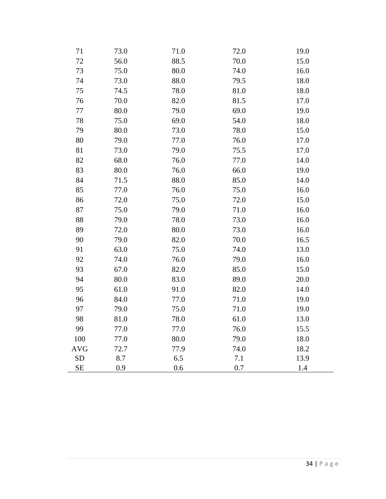| 71         | 73.0 | 71.0 | 72.0 | 19.0 |
|------------|------|------|------|------|
| 72         | 56.0 | 88.5 | 70.0 | 15.0 |
| 73         | 75.0 | 80.0 | 74.0 | 16.0 |
| 74         | 73.0 | 88.0 | 79.5 | 18.0 |
| 75         | 74.5 | 78.0 | 81.0 | 18.0 |
| 76         | 70.0 | 82.0 | 81.5 | 17.0 |
| 77         | 80.0 | 79.0 | 69.0 | 19.0 |
| 78         | 75.0 | 69.0 | 54.0 | 18.0 |
| 79         | 80.0 | 73.0 | 78.0 | 15.0 |
| 80         | 79.0 | 77.0 | 76.0 | 17.0 |
| 81         | 73.0 | 79.0 | 75.5 | 17.0 |
| 82         | 68.0 | 76.0 | 77.0 | 14.0 |
| 83         | 80.0 | 76.0 | 66.0 | 19.0 |
| 84         | 71.5 | 88.0 | 85.0 | 14.0 |
| 85         | 77.0 | 76.0 | 75.0 | 16.0 |
| 86         | 72.0 | 75.0 | 72.0 | 15.0 |
| 87         | 75.0 | 79.0 | 71.0 | 16.0 |
| 88         | 79.0 | 78.0 | 73.0 | 16.0 |
| 89         | 72.0 | 80.0 | 73.0 | 16.0 |
| 90         | 79.0 | 82.0 | 70.0 | 16.5 |
| 91         | 63.0 | 75.0 | 74.0 | 13.0 |
| 92         | 74.0 | 76.0 | 79.0 | 16.0 |
| 93         | 67.0 | 82.0 | 85.0 | 15.0 |
| 94         | 80.0 | 83.0 | 89.0 | 20.0 |
| 95         | 61.0 | 91.0 | 82.0 | 14.0 |
| 96         | 84.0 | 77.0 | 71.0 | 19.0 |
| 97         | 79.0 | 75.0 | 71.0 | 19.0 |
| 98         | 81.0 | 78.0 | 61.0 | 13.0 |
| 99         | 77.0 | 77.0 | 76.0 | 15.5 |
| 100        | 77.0 | 80.0 | 79.0 | 18.0 |
| <b>AVG</b> | 72.7 | 77.9 | 74.0 | 18.2 |
| <b>SD</b>  | 8.7  | 6.5  | 7.1  | 13.9 |
| <b>SE</b>  | 0.9  | 0.6  | 0.7  | 1.4  |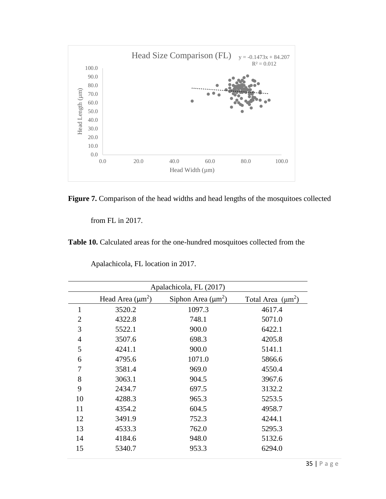



from FL in 2017.

l,

**Table 10.** Calculated areas for the one-hundred mosquitoes collected from the

|                | Apalachicola, FL (2017) |                         |                        |  |
|----------------|-------------------------|-------------------------|------------------------|--|
|                | Head Area $(\mu m^2)$   | Siphon Area $(\mu m^2)$ | Total Area $(\mu m^2)$ |  |
| $\mathbf{1}$   | 3520.2                  | 1097.3                  | 4617.4                 |  |
| $\overline{2}$ | 4322.8                  | 748.1                   | 5071.0                 |  |
| 3              | 5522.1                  | 900.0                   | 6422.1                 |  |
| $\overline{4}$ | 3507.6                  | 698.3                   | 4205.8                 |  |
| 5              | 4241.1                  | 900.0                   | 5141.1                 |  |
| 6              | 4795.6                  | 1071.0                  | 5866.6                 |  |
| 7              | 3581.4                  | 969.0                   | 4550.4                 |  |
| 8              | 3063.1                  | 904.5                   | 3967.6                 |  |
| 9              | 2434.7                  | 697.5                   | 3132.2                 |  |
| 10             | 4288.3                  | 965.3                   | 5253.5                 |  |
| 11             | 4354.2                  | 604.5                   | 4958.7                 |  |
| 12             | 3491.9                  | 752.3                   | 4244.1                 |  |
| 13             | 4533.3                  | 762.0                   | 5295.3                 |  |
| 14             | 4184.6                  | 948.0                   | 5132.6                 |  |
| 15             | 5340.7                  | 953.3                   | 6294.0                 |  |

Apalachicola, FL location in 2017.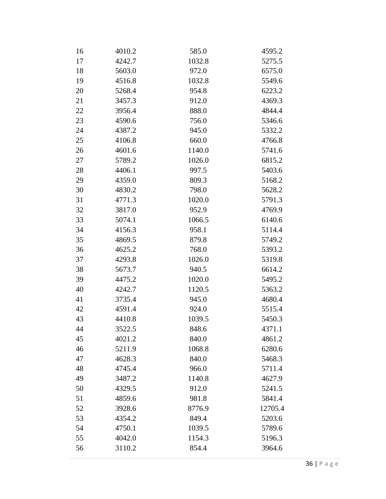| 16 | 4010.2 | 585.0  | 4595.2  |
|----|--------|--------|---------|
| 17 | 4242.7 | 1032.8 | 5275.5  |
| 18 | 5603.0 | 972.0  | 6575.0  |
| 19 | 4516.8 | 1032.8 | 5549.6  |
| 20 | 5268.4 | 954.8  | 6223.2  |
| 21 | 3457.3 | 912.0  | 4369.3  |
| 22 | 3956.4 | 888.0  | 4844.4  |
| 23 | 4590.6 | 756.0  | 5346.6  |
| 24 | 4387.2 | 945.0  | 5332.2  |
| 25 | 4106.8 | 660.0  | 4766.8  |
| 26 | 4601.6 | 1140.0 | 5741.6  |
| 27 | 5789.2 | 1026.0 | 6815.2  |
| 28 | 4406.1 | 997.5  | 5403.6  |
| 29 | 4359.0 | 809.3  | 5168.2  |
| 30 | 4830.2 | 798.0  | 5628.2  |
| 31 | 4771.3 | 1020.0 | 5791.3  |
| 32 | 3817.0 | 952.9  | 4769.9  |
| 33 | 5074.1 | 1066.5 | 6140.6  |
| 34 | 4156.3 | 958.1  | 5114.4  |
| 35 | 4869.5 | 879.8  | 5749.2  |
| 36 | 4625.2 | 768.0  | 5393.2  |
| 37 | 4293.8 | 1026.0 | 5319.8  |
| 38 | 5673.7 | 940.5  | 6614.2  |
| 39 | 4475.2 | 1020.0 | 5495.2  |
| 40 | 4242.7 | 1120.5 | 5363.2  |
| 41 | 3735.4 | 945.0  | 4680.4  |
| 42 | 4591.4 | 924.0  | 5515.4  |
| 43 | 4410.8 | 1039.5 | 5450.3  |
| 44 | 3522.5 | 848.6  | 4371.1  |
| 45 | 4021.2 | 840.0  | 4861.2  |
| 46 | 5211.9 | 1068.8 | 6280.6  |
| 47 | 4628.3 | 840.0  | 5468.3  |
| 48 | 4745.4 | 966.0  | 5711.4  |
| 49 | 3487.2 | 1140.8 | 4627.9  |
| 50 | 4329.5 | 912.0  | 5241.5  |
| 51 | 4859.6 | 981.8  | 5841.4  |
| 52 | 3928.6 | 8776.9 | 12705.4 |
| 53 | 4354.2 | 849.4  | 5203.6  |
| 54 | 4750.1 | 1039.5 | 5789.6  |
| 55 | 4042.0 | 1154.3 | 5196.3  |
| 56 | 3110.2 | 854.4  | 3964.6  |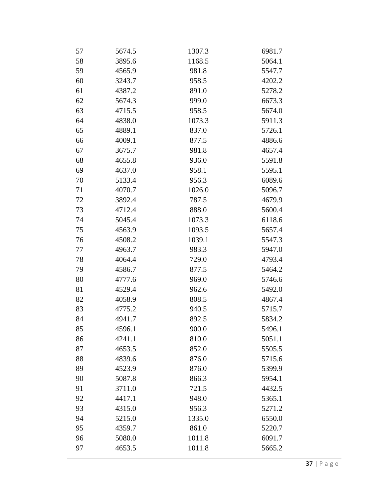| 57 | 5674.5 | 1307.3 | 6981.7 |
|----|--------|--------|--------|
| 58 | 3895.6 | 1168.5 | 5064.1 |
| 59 | 4565.9 | 981.8  | 5547.7 |
| 60 | 3243.7 | 958.5  | 4202.2 |
| 61 | 4387.2 | 891.0  | 5278.2 |
| 62 | 5674.3 | 999.0  | 6673.3 |
| 63 | 4715.5 | 958.5  | 5674.0 |
| 64 | 4838.0 | 1073.3 | 5911.3 |
| 65 | 4889.1 | 837.0  | 5726.1 |
| 66 | 4009.1 | 877.5  | 4886.6 |
| 67 | 3675.7 | 981.8  | 4657.4 |
| 68 | 4655.8 | 936.0  | 5591.8 |
| 69 | 4637.0 | 958.1  | 5595.1 |
| 70 | 5133.4 | 956.3  | 6089.6 |
| 71 | 4070.7 | 1026.0 | 5096.7 |
| 72 | 3892.4 | 787.5  | 4679.9 |
| 73 | 4712.4 | 888.0  | 5600.4 |
| 74 | 5045.4 | 1073.3 | 6118.6 |
| 75 | 4563.9 | 1093.5 | 5657.4 |
| 76 | 4508.2 | 1039.1 | 5547.3 |
| 77 | 4963.7 | 983.3  | 5947.0 |
| 78 | 4064.4 | 729.0  | 4793.4 |
| 79 | 4586.7 | 877.5  | 5464.2 |
| 80 | 4777.6 | 969.0  | 5746.6 |
| 81 | 4529.4 | 962.6  | 5492.0 |
| 82 | 4058.9 | 808.5  | 4867.4 |
| 83 | 4775.2 | 940.5  | 5715.7 |
| 84 | 4941.7 | 892.5  | 5834.2 |
| 85 | 4596.1 | 900.0  | 5496.1 |
| 86 | 4241.1 | 810.0  | 5051.1 |
| 87 | 4653.5 | 852.0  | 5505.5 |
| 88 | 4839.6 | 876.0  | 5715.6 |
| 89 | 4523.9 | 876.0  | 5399.9 |
| 90 | 5087.8 | 866.3  | 5954.1 |
| 91 | 3711.0 | 721.5  | 4432.5 |
| 92 | 4417.1 | 948.0  | 5365.1 |
| 93 | 4315.0 | 956.3  | 5271.2 |
| 94 | 5215.0 | 1335.0 | 6550.0 |
| 95 | 4359.7 | 861.0  | 5220.7 |
| 96 | 5080.0 | 1011.8 | 6091.7 |
| 97 | 4653.5 | 1011.8 | 5665.2 |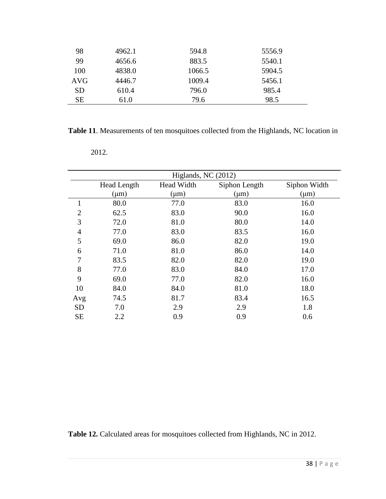| 98         | 4962.1 | 594.8  | 5556.9 |
|------------|--------|--------|--------|
| 99         | 4656.6 | 883.5  | 5540.1 |
| 100        | 4838.0 | 1066.5 | 5904.5 |
| <b>AVG</b> | 4446.7 | 1009.4 | 5456.1 |
| SD.        | 610.4  | 796.0  | 985.4  |
| SE         | 61.0   | 79.6   | 98.5   |

**Table 11**. Measurements of ten mosquitoes collected from the Highlands, NC location in

| Higlands, NC $(2012)$ |                                                            |           |           |           |  |
|-----------------------|------------------------------------------------------------|-----------|-----------|-----------|--|
|                       | Siphon Length<br>Head Width<br>Siphon Width<br>Head Length |           |           |           |  |
|                       | $(\mu m)$                                                  | $(\mu m)$ | $(\mu m)$ | $(\mu m)$ |  |
| 1                     | 80.0                                                       | 77.0      | 83.0      | 16.0      |  |
| $\overline{2}$        | 62.5                                                       | 83.0      | 90.0      | 16.0      |  |
| 3                     | 72.0                                                       | 81.0      | 80.0      | 14.0      |  |
| 4                     | 77.0                                                       | 83.0      | 83.5      | 16.0      |  |
| 5                     | 69.0                                                       | 86.0      | 82.0      | 19.0      |  |
| 6                     | 71.0                                                       | 81.0      | 86.0      | 14.0      |  |
| 7                     | 83.5                                                       | 82.0      | 82.0      | 19.0      |  |
| 8                     | 77.0                                                       | 83.0      | 84.0      | 17.0      |  |
| 9                     | 69.0                                                       | 77.0      | 82.0      | 16.0      |  |
| 10                    | 84.0                                                       | 84.0      | 81.0      | 18.0      |  |
| Avg                   | 74.5                                                       | 81.7      | 83.4      | 16.5      |  |
| <b>SD</b>             | 7.0                                                        | 2.9       | 2.9       | 1.8       |  |
| <b>SE</b>             | 2.2                                                        | 0.9       | 0.9       | 0.6       |  |

2012.

**Table 12.** Calculated areas for mosquitoes collected from Highlands, NC in 2012.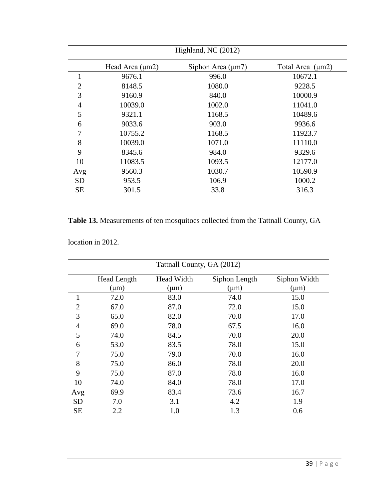| Highland, NC (2012) |                      |                        |                  |  |
|---------------------|----------------------|------------------------|------------------|--|
|                     | Head Area $(\mu m2)$ | Siphon Area $(\mu m7)$ | Total Area (µm2) |  |
| $\mathbf{1}$        | 9676.1               | 996.0                  | 10672.1          |  |
| $\overline{2}$      | 8148.5               | 1080.0                 | 9228.5           |  |
| 3                   | 9160.9               | 840.0                  | 10000.9          |  |
| $\overline{4}$      | 10039.0              | 1002.0                 | 11041.0          |  |
| 5                   | 9321.1               | 1168.5                 | 10489.6          |  |
| 6                   | 9033.6               | 903.0                  | 9936.6           |  |
| 7                   | 10755.2              | 1168.5                 | 11923.7          |  |
| 8                   | 10039.0              | 1071.0                 | 11110.0          |  |
| 9                   | 8345.6               | 984.0                  | 9329.6           |  |
| 10                  | 11083.5              | 1093.5                 | 12177.0          |  |
| Avg                 | 9560.3               | 1030.7                 | 10590.9          |  |
| <b>SD</b>           | 953.5                | 106.9                  | 1000.2           |  |
| <b>SE</b>           | 301.5                | 33.8                   | 316.3            |  |

**Table 13.** Measurements of ten mosquitoes collected from the Tattnall County, GA

location in 2012.

| Tattnall County, GA (2012) |                                                                   |           |           |           |  |  |
|----------------------------|-------------------------------------------------------------------|-----------|-----------|-----------|--|--|
|                            | Head Width<br><b>Head Length</b><br>Siphon Length<br>Siphon Width |           |           |           |  |  |
|                            | $(\mu m)$                                                         | $(\mu m)$ | $(\mu m)$ | $(\mu m)$ |  |  |
| 1                          | 72.0                                                              | 83.0      | 74.0      | 15.0      |  |  |
| $\overline{2}$             | 67.0                                                              | 87.0      | 72.0      | 15.0      |  |  |
| 3                          | 65.0                                                              | 82.0      | 70.0      | 17.0      |  |  |
| $\overline{4}$             | 69.0                                                              | 78.0      | 67.5      | 16.0      |  |  |
| 5                          | 74.0                                                              | 84.5      | 70.0      | 20.0      |  |  |
| 6                          | 53.0                                                              | 83.5      | 78.0      | 15.0      |  |  |
| 7                          | 75.0                                                              | 79.0      | 70.0      | 16.0      |  |  |
| 8                          | 75.0                                                              | 86.0      | 78.0      | 20.0      |  |  |
| 9                          | 75.0                                                              | 87.0      | 78.0      | 16.0      |  |  |
| 10                         | 74.0                                                              | 84.0      | 78.0      | 17.0      |  |  |
| Avg                        | 69.9                                                              | 83.4      | 73.6      | 16.7      |  |  |
| <b>SD</b>                  | 7.0                                                               | 3.1       | 4.2       | 1.9       |  |  |
| <b>SE</b>                  | 2.2                                                               | 1.0       | 1.3       | 0.6       |  |  |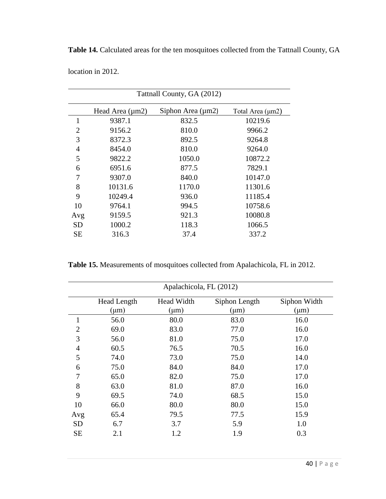**Table 14.** Calculated areas for the ten mosquitoes collected from the Tattnall County, GA

location in 2012.

| Tattnall County, GA (2012) |                      |                        |                  |  |
|----------------------------|----------------------|------------------------|------------------|--|
|                            | Head Area $(\mu m2)$ | Siphon Area $(\mu m2)$ | Total Area (µm2) |  |
| $\mathbf{1}$               | 9387.1               | 832.5                  | 10219.6          |  |
| 2                          | 9156.2               | 810.0                  | 9966.2           |  |
| 3                          | 8372.3               | 892.5                  | 9264.8           |  |
| 4                          | 8454.0               | 810.0                  | 9264.0           |  |
| 5                          | 9822.2               | 1050.0                 | 10872.2          |  |
| 6                          | 6951.6               | 877.5                  | 7829.1           |  |
| 7                          | 9307.0               | 840.0                  | 10147.0          |  |
| 8                          | 10131.6              | 1170.0                 | 11301.6          |  |
| 9                          | 10249.4              | 936.0                  | 11185.4          |  |
| 10                         | 9764.1               | 994.5                  | 10758.6          |  |
| Avg                        | 9159.5               | 921.3                  | 10080.8          |  |
| <b>SD</b>                  | 1000.2               | 118.3                  | 1066.5           |  |
| SЕ                         | 316.3                | 37.4                   | 337.2            |  |

**Table 15.** Measurements of mosquitoes collected from Apalachicola, FL in 2012.

| Apalachicola, FL (2012) |                    |            |               |              |
|-------------------------|--------------------|------------|---------------|--------------|
|                         | <b>Head Length</b> | Head Width | Siphon Length | Siphon Width |
|                         | $(\mu m)$          | $(\mu m)$  | $(\mu m)$     | $(\mu m)$    |
| 1                       | 56.0               | 80.0       | 83.0          | 16.0         |
| $\overline{2}$          | 69.0               | 83.0       | 77.0          | 16.0         |
| 3                       | 56.0               | 81.0       | 75.0          | 17.0         |
| $\overline{4}$          | 60.5               | 76.5       | 70.5          | 16.0         |
| 5                       | 74.0               | 73.0       | 75.0          | 14.0         |
| 6                       | 75.0               | 84.0       | 84.0          | 17.0         |
| 7                       | 65.0               | 82.0       | 75.0          | 17.0         |
| 8                       | 63.0               | 81.0       | 87.0          | 16.0         |
| 9                       | 69.5               | 74.0       | 68.5          | 15.0         |
| 10                      | 66.0               | 80.0       | 80.0          | 15.0         |
| Avg                     | 65.4               | 79.5       | 77.5          | 15.9         |
| <b>SD</b>               | 6.7                | 3.7        | 5.9           | 1.0          |
| <b>SE</b>               | 2.1                | 1.2        | 1.9           | 0.3          |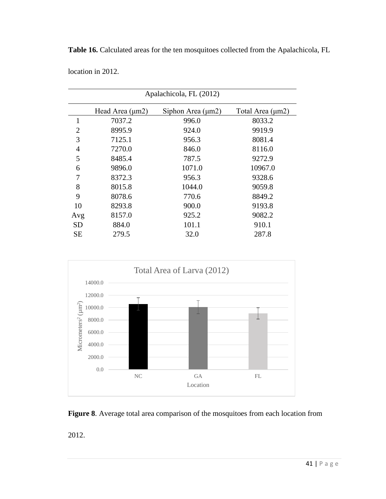| <b>Table 16.</b> Calculated areas for the ten mosquitoes collected from the Apalachicola, FL |  |
|----------------------------------------------------------------------------------------------|--|
|----------------------------------------------------------------------------------------------|--|

location in 2012.

| Apalachicola, FL (2012) |                      |                        |                  |  |
|-------------------------|----------------------|------------------------|------------------|--|
|                         | Head Area $(\mu m2)$ | Siphon Area $(\mu m2)$ | Total Area (µm2) |  |
| $\mathbf{1}$            | 7037.2               | 996.0                  | 8033.2           |  |
| 2                       | 8995.9               | 924.0                  | 9919.9           |  |
| 3                       | 7125.1               | 956.3                  | 8081.4           |  |
| 4                       | 7270.0               | 846.0                  | 8116.0           |  |
| 5                       | 8485.4               | 787.5                  | 9272.9           |  |
| 6                       | 9896.0               | 1071.0                 | 10967.0          |  |
| 7                       | 8372.3               | 956.3                  | 9328.6           |  |
| 8                       | 8015.8               | 1044.0                 | 9059.8           |  |
| 9                       | 8078.6               | 770.6                  | 8849.2           |  |
| 10                      | 8293.8               | 900.0                  | 9193.8           |  |
| Avg                     | 8157.0               | 925.2                  | 9082.2           |  |
| <b>SD</b>               | 884.0                | 101.1                  | 910.1            |  |
| <b>SE</b>               | 279.5                | 32.0                   | 287.8            |  |





2012.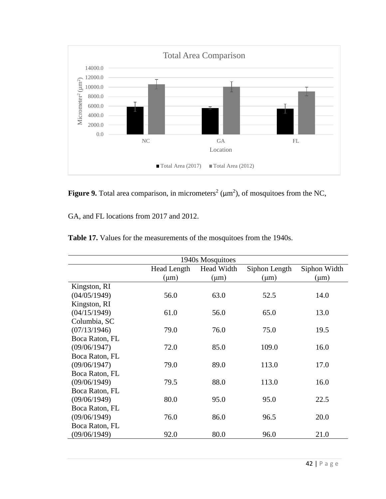

**Figure 9.** Total area comparison, in micrometers<sup>2</sup> ( $\mu$ m<sup>2</sup>), of mosquitoes from the NC,

GA, and FL locations from 2017 and 2012.

| 1940s Mosquitoes |             |            |               |              |
|------------------|-------------|------------|---------------|--------------|
|                  | Head Length | Head Width | Siphon Length | Siphon Width |
|                  | $(\mu m)$   | $(\mu m)$  | $(\mu m)$     | $(\mu m)$    |
| Kingston, RI     |             |            |               |              |
| (04/05/1949)     | 56.0        | 63.0       | 52.5          | 14.0         |
| Kingston, RI     |             |            |               |              |
| (04/15/1949)     | 61.0        | 56.0       | 65.0          | 13.0         |
| Columbia, SC     |             |            |               |              |
| (07/13/1946)     | 79.0        | 76.0       | 75.0          | 19.5         |
| Boca Raton, FL   |             |            |               |              |
| (09/06/1947)     | 72.0        | 85.0       | 109.0         | 16.0         |
| Boca Raton, FL   |             |            |               |              |
| (09/06/1947)     | 79.0        | 89.0       | 113.0         | 17.0         |
| Boca Raton, FL   |             |            |               |              |
| (09/06/1949)     | 79.5        | 88.0       | 113.0         | 16.0         |
| Boca Raton, FL   |             |            |               |              |
| (09/06/1949)     | 80.0        | 95.0       | 95.0          | 22.5         |
| Boca Raton, FL   |             |            |               |              |
| (09/06/1949)     | 76.0        | 86.0       | 96.5          | 20.0         |
| Boca Raton, FL   |             |            |               |              |
| (09/06/1949)     | 92.0        | 80.0       | 96.0          | 21.0         |

| <b>Table 17.</b> Values for the measurements of the mosquitoes from the 1940s. |  |
|--------------------------------------------------------------------------------|--|
|--------------------------------------------------------------------------------|--|